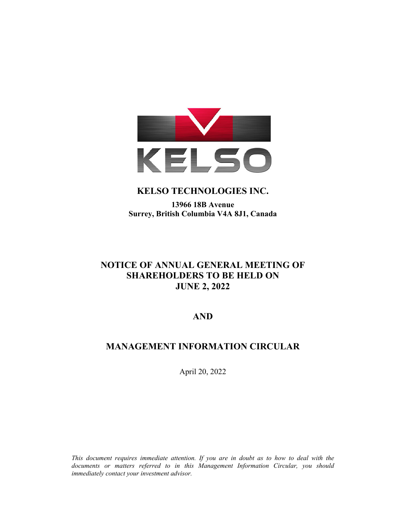

# **KELSO TECHNOLOGIES INC.**

# **13966 18B Avenue Surrey, British Columbia V4A 8J1, Canada**

# **NOTICE OF ANNUAL GENERAL MEETING OF SHAREHOLDERS TO BE HELD ON JUNE 2, 2022**

# **AND**

# **MANAGEMENT INFORMATION CIRCULAR**

April 20, 2022

*This document requires immediate attention. If you are in doubt as to how to deal with the documents or matters referred to in this Management Information Circular, you should immediately contact your investment advisor.*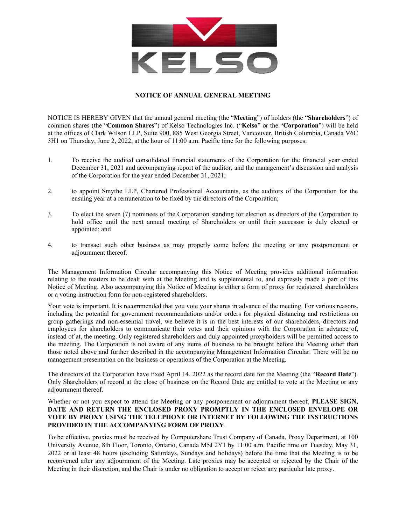

### **NOTICE OF ANNUAL GENERAL MEETING**

NOTICE IS HEREBY GIVEN that the annual general meeting (the "**Meeting**") of holders (the "**Shareholders**") of common shares (the "**Common Shares**") of Kelso Technologies Inc. ("**Kelso**" or the "**Corporation**") will be held at the offices of Clark Wilson LLP, Suite 900, 885 West Georgia Street, Vancouver, British Columbia, Canada V6C 3H1 on Thursday, June 2, 2022, at the hour of 11:00 a.m. Pacific time for the following purposes:

- 1. To receive the audited consolidated financial statements of the Corporation for the financial year ended December 31, 2021 and accompanying report of the auditor, and the management's discussion and analysis of the Corporation for the year ended December 31, 2021;
- 2. to appoint Smythe LLP, Chartered Professional Accountants, as the auditors of the Corporation for the ensuing year at a remuneration to be fixed by the directors of the Corporation;
- 3. To elect the seven (7) nominees of the Corporation standing for election as directors of the Corporation to hold office until the next annual meeting of Shareholders or until their successor is duly elected or appointed; and
- 4. to transact such other business as may properly come before the meeting or any postponement or adjournment thereof.

The Management Information Circular accompanying this Notice of Meeting provides additional information relating to the matters to be dealt with at the Meeting and is supplemental to, and expressly made a part of this Notice of Meeting. Also accompanying this Notice of Meeting is either a form of proxy for registered shareholders or a voting instruction form for non-registered shareholders.

Your vote is important. It is recommended that you vote your shares in advance of the meeting. For various reasons, including the potential for government recommendations and/or orders for physical distancing and restrictions on group gatherings and non-essential travel, we believe it is in the best interests of our shareholders, directors and employees for shareholders to communicate their votes and their opinions with the Corporation in advance of, instead of at, the meeting. Only registered shareholders and duly appointed proxyholders will be permitted access to the meeting. The Corporation is not aware of any items of business to be brought before the Meeting other than those noted above and further described in the accompanying Management Information Circular. There will be no management presentation on the business or operations of the Corporation at the Meeting.

The directors of the Corporation have fixed April 14, 2022 as the record date for the Meeting (the "**Record Date**"). Only Shareholders of record at the close of business on the Record Date are entitled to vote at the Meeting or any adjournment thereof.

### Whether or not you expect to attend the Meeting or any postponement or adjournment thereof, **PLEASE SIGN, DATE AND RETURN THE ENCLOSED PROXY PROMPTLY IN THE ENCLOSED ENVELOPE OR VOTE BY PROXY USING THE TELEPHONE OR INTERNET BY FOLLOWING THE INSTRUCTIONS PROVIDED IN THE ACCOMPANYING FORM OF PROXY**.

To be effective, proxies must be received by Computershare Trust Company of Canada, Proxy Department, at 100 University Avenue, 8th Floor, Toronto, Ontario, Canada M5J 2Y1 by 11:00 a.m. Pacific time on Tuesday, May 31, 2022 or at least 48 hours (excluding Saturdays, Sundays and holidays) before the time that the Meeting is to be reconvened after any adjournment of the Meeting. Late proxies may be accepted or rejected by the Chair of the Meeting in their discretion, and the Chair is under no obligation to accept or reject any particular late proxy.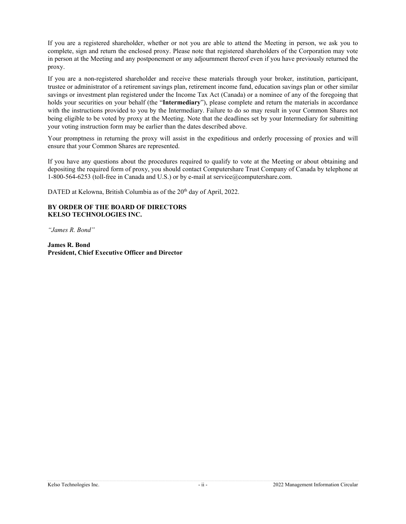If you are a registered shareholder, whether or not you are able to attend the Meeting in person, we ask you to complete, sign and return the enclosed proxy. Please note that registered shareholders of the Corporation may vote in person at the Meeting and any postponement or any adjournment thereof even if you have previously returned the proxy.

If you are a non-registered shareholder and receive these materials through your broker, institution, participant, trustee or administrator of a retirement savings plan, retirement income fund, education savings plan or other similar savings or investment plan registered under the Income Tax Act (Canada) or a nominee of any of the foregoing that holds your securities on your behalf (the "**Intermediary**"), please complete and return the materials in accordance with the instructions provided to you by the Intermediary. Failure to do so may result in your Common Shares not being eligible to be voted by proxy at the Meeting. Note that the deadlines set by your Intermediary for submitting your voting instruction form may be earlier than the dates described above.

Your promptness in returning the proxy will assist in the expeditious and orderly processing of proxies and will ensure that your Common Shares are represented.

If you have any questions about the procedures required to qualify to vote at the Meeting or about obtaining and depositing the required form of proxy, you should contact Computershare Trust Company of Canada by telephone at 1-800-564-6253 (toll-free in Canada and U.S.) or by e-mail at service@computershare.com.

DATED at Kelowna, British Columbia as of the 20<sup>th</sup> day of April, 2022.

### **BY ORDER OF THE BOARD OF DIRECTORS KELSO TECHNOLOGIES INC.**

*"James R. Bond"* 

**James R. Bond President, Chief Executive Officer and Director**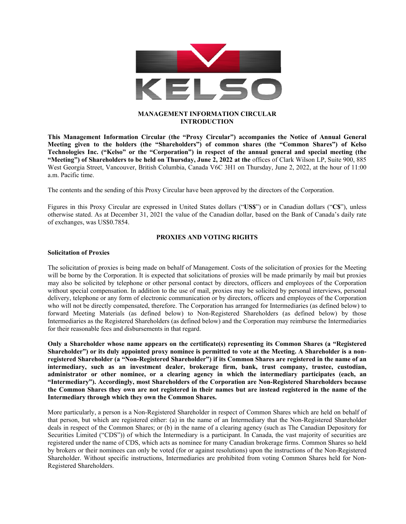

# **MANAGEMENT INFORMATION CIRCULAR INTRODUCTION**

**This Management Information Circular (the "Proxy Circular") accompanies the Notice of Annual General Meeting given to the holders (the "Shareholders") of common shares (the "Common Shares") of Kelso Technologies Inc. ("Kelso" or the "Corporation") in respect of the annual general and special meeting (the "Meeting") of Shareholders to be held on Thursday, June 2, 2022 at the** offices of Clark Wilson LP, Suite 900, 885 West Georgia Street, Vancouver, British Columbia, Canada V6C 3H1 on Thursday, June 2, 2022, at the hour of 11:00 a.m. Pacific time.

The contents and the sending of this Proxy Circular have been approved by the directors of the Corporation.

Figures in this Proxy Circular are expressed in United States dollars ("**US\$**") or in Canadian dollars ("**C\$**"), unless otherwise stated. As at December 31, 2021 the value of the Canadian dollar, based on the Bank of Canada's daily rate of exchanges, was US\$0.7854.

#### **PROXIES AND VOTING RIGHTS**

#### **Solicitation of Proxies**

The solicitation of proxies is being made on behalf of Management. Costs of the solicitation of proxies for the Meeting will be borne by the Corporation. It is expected that solicitations of proxies will be made primarily by mail but proxies may also be solicited by telephone or other personal contact by directors, officers and employees of the Corporation without special compensation. In addition to the use of mail, proxies may be solicited by personal interviews, personal delivery, telephone or any form of electronic communication or by directors, officers and employees of the Corporation who will not be directly compensated, therefore. The Corporation has arranged for Intermediaries (as defined below) to forward Meeting Materials (as defined below) to Non-Registered Shareholders (as defined below) by those Intermediaries as the Registered Shareholders (as defined below) and the Corporation may reimburse the Intermediaries for their reasonable fees and disbursements in that regard.

**Only a Shareholder whose name appears on the certificate(s) representing its Common Shares (a "Registered Shareholder") or its duly appointed proxy nominee is permitted to vote at the Meeting. A Shareholder is a nonregistered Shareholder (a "Non-Registered Shareholder") if its Common Shares are registered in the name of an intermediary, such as an investment dealer, brokerage firm, bank, trust company, trustee, custodian, administrator or other nominee, or a clearing agency in which the intermediary participates (each, an "Intermediary"). Accordingly, most Shareholders of the Corporation are Non-Registered Shareholders because the Common Shares they own are not registered in their names but are instead registered in the name of the Intermediary through which they own the Common Shares.** 

More particularly, a person is a Non-Registered Shareholder in respect of Common Shares which are held on behalf of that person, but which are registered either: (a) in the name of an Intermediary that the Non-Registered Shareholder deals in respect of the Common Shares; or (b) in the name of a clearing agency (such as The Canadian Depository for Securities Limited ("CDS")) of which the Intermediary is a participant. In Canada, the vast majority of securities are registered under the name of CDS, which acts as nominee for many Canadian brokerage firms. Common Shares so held by brokers or their nominees can only be voted (for or against resolutions) upon the instructions of the Non-Registered Shareholder. Without specific instructions, Intermediaries are prohibited from voting Common Shares held for Non-Registered Shareholders.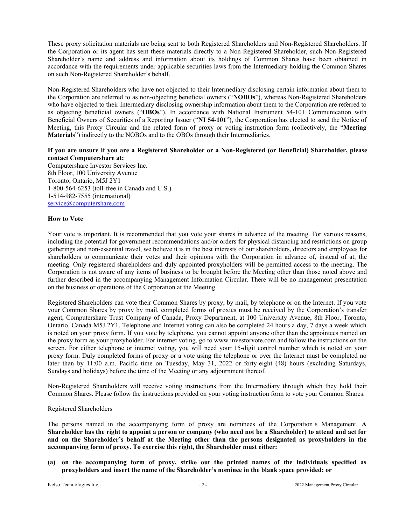These proxy solicitation materials are being sent to both Registered Shareholders and Non-Registered Shareholders. If the Corporation or its agent has sent these materials directly to a Non-Registered Shareholder, such Non-Registered Shareholder's name and address and information about its holdings of Common Shares have been obtained in accordance with the requirements under applicable securities laws from the Intermediary holding the Common Shares on such Non-Registered Shareholder's behalf.

Non-Registered Shareholders who have not objected to their Intermediary disclosing certain information about them to the Corporation are referred to as non-objecting beneficial owners ("**NOBOs**"), whereas Non-Registered Shareholders who have objected to their Intermediary disclosing ownership information about them to the Corporation are referred to as objecting beneficial owners ("**OBOs**"). In accordance with National Instrument 54-101 Communication with Beneficial Owners of Securities of a Reporting Issuer ("**NI 54-101**"), the Corporation has elected to send the Notice of Meeting, this Proxy Circular and the related form of proxy or voting instruction form (collectively, the "**Meeting Materials**") indirectly to the NOBOs and to the OBOs through their Intermediaries.

# **If you are unsure if you are a Registered Shareholder or a Non-Registered (or Beneficial) Shareholder, please contact Computershare at:**

Computershare Investor Services Inc. 8th Floor, 100 University Avenue Toronto, Ontario, M5J 2Y1 1-800-564-6253 (toll-free in Canada and U.S.) 1-514-982-7555 (international) service@computershare.com

### **How to Vote**

Your vote is important. It is recommended that you vote your shares in advance of the meeting. For various reasons, including the potential for government recommendations and/or orders for physical distancing and restrictions on group gatherings and non-essential travel, we believe it is in the best interests of our shareholders, directors and employees for shareholders to communicate their votes and their opinions with the Corporation in advance of, instead of at, the meeting. Only registered shareholders and duly appointed proxyholders will be permitted access to the meeting. The Corporation is not aware of any items of business to be brought before the Meeting other than those noted above and further described in the accompanying Management Information Circular. There will be no management presentation on the business or operations of the Corporation at the Meeting.

Registered Shareholders can vote their Common Shares by proxy, by mail, by telephone or on the Internet. If you vote your Common Shares by proxy by mail, completed forms of proxies must be received by the Corporation's transfer agent, Computershare Trust Company of Canada, Proxy Department, at 100 University Avenue, 8th Floor, Toronto, Ontario, Canada M5J 2Y1. Telephone and Internet voting can also be completed 24 hours a day, 7 days a week which is noted on your proxy form. If you vote by telephone, you cannot appoint anyone other than the appointees named on the proxy form as your proxyholder. For internet voting, go to www.investorvote.com and follow the instructions on the screen. For either telephone or internet voting, you will need your 15-digit control number which is noted on your proxy form. Duly completed forms of proxy or a vote using the telephone or over the Internet must be completed no later than by 11:00 a.m. Pacific time on Tuesday, May 31, 2022 or forty-eight (48) hours (excluding Saturdays, Sundays and holidays) before the time of the Meeting or any adjournment thereof.

Non-Registered Shareholders will receive voting instructions from the Intermediary through which they hold their Common Shares. Please follow the instructions provided on your voting instruction form to vote your Common Shares.

### Registered Shareholders

The persons named in the accompanying form of proxy are nominees of the Corporation's Management. **A Shareholder has the right to appoint a person or company (who need not be a Shareholder) to attend and act for and on the Shareholder's behalf at the Meeting other than the persons designated as proxyholders in the accompanying form of proxy. To exercise this right, the Shareholder must either:** 

**(a) on the accompanying form of proxy, strike out the printed names of the individuals specified as proxyholders and insert the name of the Shareholder's nominee in the blank space provided; or**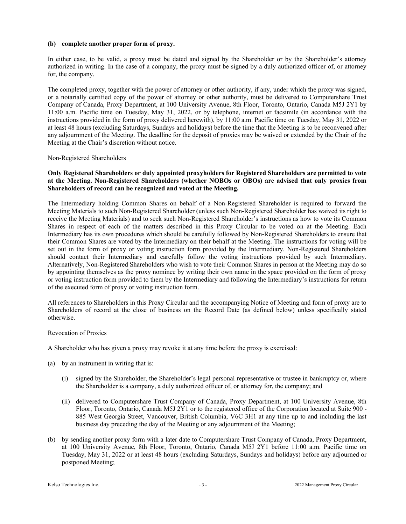### **(b) complete another proper form of proxy.**

In either case, to be valid, a proxy must be dated and signed by the Shareholder or by the Shareholder's attorney authorized in writing. In the case of a company, the proxy must be signed by a duly authorized officer of, or attorney for, the company.

The completed proxy, together with the power of attorney or other authority, if any, under which the proxy was signed, or a notarially certified copy of the power of attorney or other authority, must be delivered to Computershare Trust Company of Canada, Proxy Department, at 100 University Avenue, 8th Floor, Toronto, Ontario, Canada M5J 2Y1 by 11:00 a.m. Pacific time on Tuesday, May 31, 2022, or by telephone, internet or facsimile (in accordance with the instructions provided in the form of proxy delivered herewith), by 11:00 a.m. Pacific time on Tuesday, May 31, 2022 or at least 48 hours (excluding Saturdays, Sundays and holidays) before the time that the Meeting is to be reconvened after any adjournment of the Meeting. The deadline for the deposit of proxies may be waived or extended by the Chair of the Meeting at the Chair's discretion without notice.

## Non-Registered Shareholders

### **Only Registered Shareholders or duly appointed proxyholders for Registered Shareholders are permitted to vote at the Meeting. Non-Registered Shareholders (whether NOBOs or OBOs) are advised that only proxies from Shareholders of record can be recognized and voted at the Meeting.**

The Intermediary holding Common Shares on behalf of a Non-Registered Shareholder is required to forward the Meeting Materials to such Non-Registered Shareholder (unless such Non-Registered Shareholder has waived its right to receive the Meeting Materials) and to seek such Non-Registered Shareholder's instructions as how to vote its Common Shares in respect of each of the matters described in this Proxy Circular to be voted on at the Meeting. Each Intermediary has its own procedures which should be carefully followed by Non-Registered Shareholders to ensure that their Common Shares are voted by the Intermediary on their behalf at the Meeting. The instructions for voting will be set out in the form of proxy or voting instruction form provided by the Intermediary. Non-Registered Shareholders should contact their Intermediary and carefully follow the voting instructions provided by such Intermediary. Alternatively, Non-Registered Shareholders who wish to vote their Common Shares in person at the Meeting may do so by appointing themselves as the proxy nominee by writing their own name in the space provided on the form of proxy or voting instruction form provided to them by the Intermediary and following the Intermediary's instructions for return of the executed form of proxy or voting instruction form.

All references to Shareholders in this Proxy Circular and the accompanying Notice of Meeting and form of proxy are to Shareholders of record at the close of business on the Record Date (as defined below) unless specifically stated otherwise.

# Revocation of Proxies

A Shareholder who has given a proxy may revoke it at any time before the proxy is exercised:

- (a) by an instrument in writing that is:
	- (i) signed by the Shareholder, the Shareholder's legal personal representative or trustee in bankruptcy or, where the Shareholder is a company, a duly authorized officer of, or attorney for, the company; and
	- (ii) delivered to Computershare Trust Company of Canada, Proxy Department, at 100 University Avenue, 8th Floor, Toronto, Ontario, Canada M5J 2Y1 or to the registered office of the Corporation located at Suite 900 - 885 West Georgia Street, Vancouver, British Columbia, V6C 3H1 at any time up to and including the last business day preceding the day of the Meeting or any adjournment of the Meeting;
- (b) by sending another proxy form with a later date to Computershare Trust Company of Canada, Proxy Department, at 100 University Avenue, 8th Floor, Toronto, Ontario, Canada M5J 2Y1 before 11:00 a.m. Pacific time on Tuesday, May 31, 2022 or at least 48 hours (excluding Saturdays, Sundays and holidays) before any adjourned or postponed Meeting;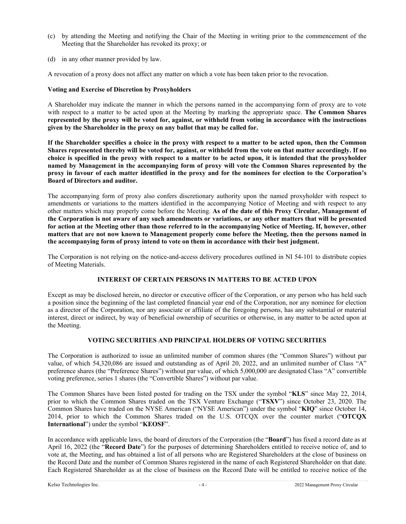- (c) by attending the Meeting and notifying the Chair of the Meeting in writing prior to the commencement of the Meeting that the Shareholder has revoked its proxy; or
- (d) in any other manner provided by law.

A revocation of a proxy does not affect any matter on which a vote has been taken prior to the revocation.

### **Voting and Exercise of Discretion by Proxyholders**

A Shareholder may indicate the manner in which the persons named in the accompanying form of proxy are to vote with respect to a matter to be acted upon at the Meeting by marking the appropriate space. **The Common Shares represented by the proxy will be voted for, against, or withheld from voting in accordance with the instructions given by the Shareholder in the proxy on any ballot that may be called for.** 

**If the Shareholder specifies a choice in the proxy with respect to a matter to be acted upon, then the Common Shares represented thereby will be voted for, against, or withheld from the vote on that matter accordingly. If no choice is specified in the proxy with respect to a matter to be acted upon, it is intended that the proxyholder named by Management in the accompanying form of proxy will vote the Common Shares represented by the proxy in favour of each matter identified in the proxy and for the nominees for election to the Corporation's Board of Directors and auditor.** 

The accompanying form of proxy also confers discretionary authority upon the named proxyholder with respect to amendments or variations to the matters identified in the accompanying Notice of Meeting and with respect to any other matters which may properly come before the Meeting. **As of the date of this Proxy Circular, Management of the Corporation is not aware of any such amendments or variations, or any other matters that will be presented for action at the Meeting other than those referred to in the accompanying Notice of Meeting. If, however, other matters that are not now known to Management properly come before the Meeting, then the persons named in the accompanying form of proxy intend to vote on them in accordance with their best judgment.** 

The Corporation is not relying on the notice-and-access delivery procedures outlined in NI 54-101 to distribute copies of Meeting Materials.

# **INTEREST OF CERTAIN PERSONS IN MATTERS TO BE ACTED UPON**

Except as may be disclosed herein, no director or executive officer of the Corporation, or any person who has held such a position since the beginning of the last completed financial year end of the Corporation, nor any nominee for election as a director of the Corporation, nor any associate or affiliate of the foregoing persons, has any substantial or material interest, direct or indirect, by way of beneficial ownership of securities or otherwise, in any matter to be acted upon at the Meeting.

# **VOTING SECURITIES AND PRINCIPAL HOLDERS OF VOTING SECURITIES**

The Corporation is authorized to issue an unlimited number of common shares (the "Common Shares") without par value, of which 54,320,086 are issued and outstanding as of April 20, 2022, and an unlimited number of Class "A" preference shares (the "Preference Shares") without par value, of which 5,000,000 are designated Class "A" convertible voting preference, series 1 shares (the "Convertible Shares") without par value.

The Common Shares have been listed posted for trading on the TSX under the symbol "**KLS**" since May 22, 2014, prior to which the Common Shares traded on the TSX Venture Exchange ("**TSXV**") since October 23, 2020. The Common Shares have traded on the NYSE American ("NYSE American") under the symbol "**KIQ**" since October 14, 2014, prior to which the Common Shares traded on the U.S. OTCQX over the counter market ("**OTCQX International**") under the symbol "**KEOSF**".

In accordance with applicable laws, the board of directors of the Corporation (the "**Board**") has fixed a record date as at April 16, 2022 (the "**Record Date**") for the purposes of determining Shareholders entitled to receive notice of, and to vote at, the Meeting, and has obtained a list of all persons who are Registered Shareholders at the close of business on the Record Date and the number of Common Shares registered in the name of each Registered Shareholder on that date. Each Registered Shareholder as at the close of business on the Record Date will be entitled to receive notice of the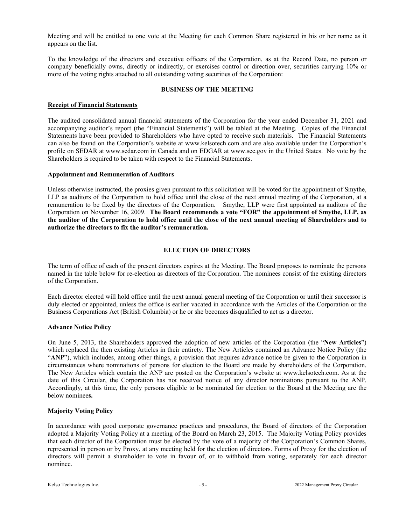Meeting and will be entitled to one vote at the Meeting for each Common Share registered in his or her name as it appears on the list.

To the knowledge of the directors and executive officers of the Corporation, as at the Record Date, no person or company beneficially owns, directly or indirectly, or exercises control or direction over, securities carrying 10% or more of the voting rights attached to all outstanding voting securities of the Corporation:

## **BUSINESS OF THE MEETING**

# **Receipt of Financial Statements**

The audited consolidated annual financial statements of the Corporation for the year ended December 31, 2021 and accompanying auditor's report (the "Financial Statements") will be tabled at the Meeting. Copies of the Financial Statements have been provided to Shareholders who have opted to receive such materials. The Financial Statements can also be found on the Corporation's website at www.kelsotech.com and are also available under the Corporation's profile on SEDAR at www.sedar.com in Canada and on EDGAR at www.sec.gov in the United States. No vote by the Shareholders is required to be taken with respect to the Financial Statements.

### **Appointment and Remuneration of Auditors**

Unless otherwise instructed, the proxies given pursuant to this solicitation will be voted for the appointment of Smythe, LLP as auditors of the Corporation to hold office until the close of the next annual meeting of the Corporation, at a remuneration to be fixed by the directors of the Corporation. Smythe, LLP were first appointed as auditors of the Corporation on November 16, 2009. **The Board recommends a vote "FOR" the appointment of Smythe, LLP, as the auditor of the Corporation to hold office until the close of the next annual meeting of Shareholders and to authorize the directors to fix the auditor's remuneration.** 

# **ELECTION OF DIRECTORS**

The term of office of each of the present directors expires at the Meeting. The Board proposes to nominate the persons named in the table below for re-election as directors of the Corporation. The nominees consist of the existing directors of the Corporation.

Each director elected will hold office until the next annual general meeting of the Corporation or until their successor is duly elected or appointed, unless the office is earlier vacated in accordance with the Articles of the Corporation or the Business Corporations Act (British Columbia) or he or she becomes disqualified to act as a director.

### **Advance Notice Policy**

On June 5, 2013, the Shareholders approved the adoption of new articles of the Corporation (the "**New Articles**") which replaced the then existing Articles in their entirety. The New Articles contained an Advance Notice Policy (the "**ANP**"), which includes, among other things, a provision that requires advance notice be given to the Corporation in circumstances where nominations of persons for election to the Board are made by shareholders of the Corporation. The New Articles which contain the ANP are posted on the Corporation's website at www.kelsotech.com. As at the date of this Circular, the Corporation has not received notice of any director nominations pursuant to the ANP. Accordingly, at this time, the only persons eligible to be nominated for election to the Board at the Meeting are the below nominee**s.** 

### **Majority Voting Policy**

In accordance with good corporate governance practices and procedures, the Board of directors of the Corporation adopted a Majority Voting Policy at a meeting of the Board on March 23, 2015. The Majority Voting Policy provides that each director of the Corporation must be elected by the vote of a majority of the Corporation's Common Shares, represented in person or by Proxy, at any meeting held for the election of directors. Forms of Proxy for the election of directors will permit a shareholder to vote in favour of, or to withhold from voting, separately for each director nominee.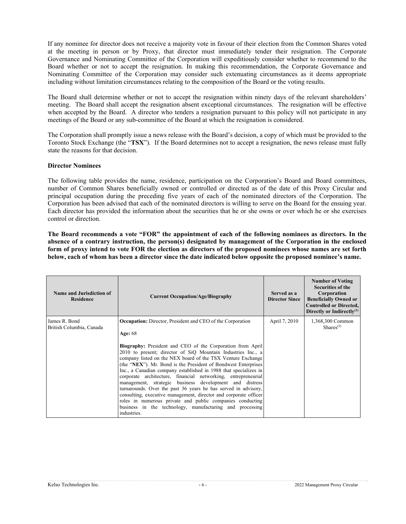If any nominee for director does not receive a majority vote in favour of their election from the Common Shares voted at the meeting in person or by Proxy, that director must immediately tender their resignation. The Corporate Governance and Nominating Committee of the Corporation will expeditiously consider whether to recommend to the Board whether or not to accept the resignation. In making this recommendation, the Corporate Governance and Nominating Committee of the Corporation may consider such extenuating circumstances as it deems appropriate including without limitation circumstances relating to the composition of the Board or the voting results.

The Board shall determine whether or not to accept the resignation within ninety days of the relevant shareholders' meeting. The Board shall accept the resignation absent exceptional circumstances. The resignation will be effective when accepted by the Board. A director who tenders a resignation pursuant to this policy will not participate in any meetings of the Board or any sub-committee of the Board at which the resignation is considered.

The Corporation shall promptly issue a news release with the Board's decision, a copy of which must be provided to the Toronto Stock Exchange (the "**TSX**"). If the Board determines not to accept a resignation, the news release must fully state the reasons for that decision.

#### **Director Nominees**

The following table provides the name, residence, participation on the Corporation's Board and Board committees, number of Common Shares beneficially owned or controlled or directed as of the date of this Proxy Circular and principal occupation during the preceding five years of each of the nominated directors of the Corporation. The Corporation has been advised that each of the nominated directors is willing to serve on the Board for the ensuing year. Each director has provided the information about the securities that he or she owns or over which he or she exercises control or direction.

**The Board recommends a vote "FOR" the appointment of each of the following nominees as directors. In the absence of a contrary instruction, the person(s) designated by management of the Corporation in the enclosed form of proxy intend to vote FOR the election as directors of the proposed nominees whose names are set forth below, each of whom has been a director since the date indicated below opposite the proposed nominee's name.** 

| Name and Jurisdiction of<br><b>Residence</b> | <b>Current Occupation/Age/Biography</b>                                                                                                                                                                                                                                                                                                                                                                                                                                                                                                                                                                                                                                                                                                                                                                                            | Served as a<br><b>Director Since</b> | <b>Number of Voting</b><br><b>Securities of the</b><br>Corporation<br><b>Beneficially Owned or</b><br><b>Controlled or Directed,</b><br>Directly or Indirectly <sup>(1)</sup> |
|----------------------------------------------|------------------------------------------------------------------------------------------------------------------------------------------------------------------------------------------------------------------------------------------------------------------------------------------------------------------------------------------------------------------------------------------------------------------------------------------------------------------------------------------------------------------------------------------------------------------------------------------------------------------------------------------------------------------------------------------------------------------------------------------------------------------------------------------------------------------------------------|--------------------------------------|-------------------------------------------------------------------------------------------------------------------------------------------------------------------------------|
| James R. Bond<br>British Columbia, Canada    | <b>Occupation:</b> Director, President and CEO of the Corporation<br>Age: $68$<br><b>Biography:</b> President and CEO of the Corporation from April<br>2010 to present; director of SiQ Mountain Industries Inc., a<br>company listed on the NEX board of the TSX Venture Exchange<br>(the "NEX"). Mr. Bond is the President of Bondwest Enterprises<br>Inc., a Canadian company established in 1988 that specializes in<br>corporate architecture, financial networking, entrepreneurial<br>management, strategic business development and distress<br>turnarounds. Over the past 36 years he has served in advisory,<br>consulting, executive management, director and corporate officer<br>roles in numerous private and public companies conducting<br>business in the technology, manufacturing and processing<br>industries. | April 7, 2010                        | 1,368,300 Common<br>Shares <sup>(2)</sup>                                                                                                                                     |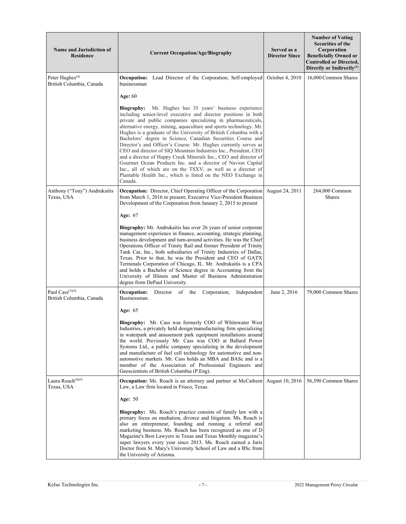| <b>Name and Jurisdiction of</b><br><b>Residence</b>     | <b>Current Occupation/Age/Biography</b>                                                                                                                                                                                                                                                                                                                                                                                                                                                                                                                                                                                                                                                                                                                                                                                              | Served as a<br><b>Director Since</b> | <b>Number of Voting</b><br>Securities of the<br>Corporation<br><b>Beneficially Owned or</b><br><b>Controlled or Directed,</b><br>Directly or Indirectly $(1)$ |
|---------------------------------------------------------|--------------------------------------------------------------------------------------------------------------------------------------------------------------------------------------------------------------------------------------------------------------------------------------------------------------------------------------------------------------------------------------------------------------------------------------------------------------------------------------------------------------------------------------------------------------------------------------------------------------------------------------------------------------------------------------------------------------------------------------------------------------------------------------------------------------------------------------|--------------------------------------|---------------------------------------------------------------------------------------------------------------------------------------------------------------|
| Peter Hughes $(4)$<br>British Columbia, Canada          | <b>Occupation:</b> Lead Director of the Corporation; Self-employed<br>businessman                                                                                                                                                                                                                                                                                                                                                                                                                                                                                                                                                                                                                                                                                                                                                    | October 4, 2010                      | 16,000 Common Shares                                                                                                                                          |
|                                                         | Age: 60                                                                                                                                                                                                                                                                                                                                                                                                                                                                                                                                                                                                                                                                                                                                                                                                                              |                                      |                                                                                                                                                               |
|                                                         | <b>Biography:</b> Mr. Hughes has 35 years' business experience<br>including senior-level executive and director positions in both<br>private and public companies specializing in pharmaceuticals,<br>alternative energy, mining, aquaculture and sports technology. Mr.<br>Hughes is a graduate of the University of British Columbia with a<br>Bachelors' degree in Science, Canadian Securities Course and<br>Director's and Officer's Course. Mr. Hughes currently serves as<br>CEO and director of SIQ Mountain Industries Inc., President, CEO<br>and a director of Happy Creek Minerals Inc., CEO and director of<br>Gourmet Ocean Products Inc. and a director of Navion Capital<br>Inc., all of which are on the TSXV, as well as a director of<br>Plantable Health Inc., which is listed on the NEO Exchange in<br>Canada. |                                      |                                                                                                                                                               |
| Anthony ("Tony") Andrukaitis<br>Texas, USA              | Occupation: Director, Chief Operating Officer of the Corporation<br>from March 1, 2016 to present; Executive Vice-President Business<br>Development of the Corporation from January 2, 2015 to present                                                                                                                                                                                                                                                                                                                                                                                                                                                                                                                                                                                                                               | August 24, 2011                      | 264,000 Common<br>Shares                                                                                                                                      |
|                                                         | <b>Age: 67</b>                                                                                                                                                                                                                                                                                                                                                                                                                                                                                                                                                                                                                                                                                                                                                                                                                       |                                      |                                                                                                                                                               |
|                                                         | Biography: Mr. Andrukaitis has over 26 years of senior corporate<br>management experience in finance, accounting, strategic planning,<br>business development and turn-around activities. He was the Chief<br>Operations Officer of Trinity Rail and former President of Trinity<br>Tank Car, Inc., both subsidiaries of Trinity Industries of Dallas,<br>Texas. Prior to that, he was the President and CEO of GATX<br>Terminals Corporation of Chicago, IL. Mr. Andrukaitis is a CPA<br>and holds a Bachelor of Science degree in Accounting from the<br>University of Illinois and Master of Business Administration<br>degree from DePaul University.                                                                                                                                                                            |                                      |                                                                                                                                                               |
| Paul $\text{Cass}^{(3)(4)}$<br>British Columbia, Canada | Occupation:<br>Director of the<br>Corporation;<br>Independent<br>Businessman.                                                                                                                                                                                                                                                                                                                                                                                                                                                                                                                                                                                                                                                                                                                                                        | June 2, 2016                         | 79,000 Common Shares                                                                                                                                          |
|                                                         | <b>Age: 65</b>                                                                                                                                                                                                                                                                                                                                                                                                                                                                                                                                                                                                                                                                                                                                                                                                                       |                                      |                                                                                                                                                               |
|                                                         | Biography: Mr. Cass was formerly COO of Whitewater West<br>Industries, a privately held design/manufacturing firm specializing<br>in waterpark and amusement park equipment installations around<br>the world. Previously Mr. Cass was COO at Ballard Power<br>Systems Ltd., a public company specializing in the development<br>and manufacture of fuel cell technology for automotive and non-<br>automotive markets. Mr. Cass holds an MBA and BASc and is a<br>member of the Association of Professional Engineers and<br>Geoscientists of British Columbia (P.Eng).                                                                                                                                                                                                                                                             |                                      |                                                                                                                                                               |
| Laura Roach <sup>(4)(5)</sup><br>Texas, USA             | <b>Occupation:</b> Ms. Roach is an attorney and partner at McCathern<br>Law, a Law firm located in Frisco, Texas.                                                                                                                                                                                                                                                                                                                                                                                                                                                                                                                                                                                                                                                                                                                    | August 10, 2016                      | 56,390 Common Shares                                                                                                                                          |
|                                                         | <b>Age: 50</b>                                                                                                                                                                                                                                                                                                                                                                                                                                                                                                                                                                                                                                                                                                                                                                                                                       |                                      |                                                                                                                                                               |
|                                                         | Biography: Ms. Roach's practice consists of family law with a<br>primary focus on mediation, divorce and litigation. Ms. Roach is<br>also an entrepreneur, founding and running a referral and<br>marketing business. Ms. Roach has been recognized as one of D<br>Magazine's Best Lawyers in Texas and Texas Monthly magazine's<br>super lawyers every year since 2013. Ms. Roach earned a Juris<br>Doctor from St. Mary's University School of Law and a BSc from<br>the University of Arizona.                                                                                                                                                                                                                                                                                                                                    |                                      |                                                                                                                                                               |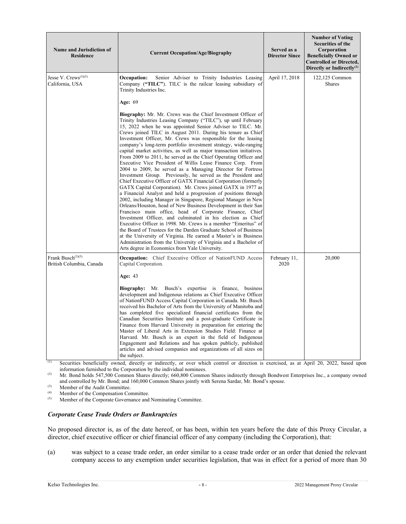| <b>Name and Jurisdiction of</b><br><b>Residence</b>       | <b>Current Occupation/Age/Biography</b>                                                                                                                                                                                                                                                                                                                                                                                                                                                                                                                                                                                                                                                                                                                                                                                                                                                                                                                                                                                                                                                                                                                                                                                                                                                                                                                                                                                                                                                                                                    | Served as a<br><b>Director Since</b> | <b>Number of Voting</b><br>Securities of the<br>Corporation<br><b>Beneficially Owned or</b><br><b>Controlled or Directed,</b><br>Directly or Indirectly <sup>(1)</sup> |
|-----------------------------------------------------------|--------------------------------------------------------------------------------------------------------------------------------------------------------------------------------------------------------------------------------------------------------------------------------------------------------------------------------------------------------------------------------------------------------------------------------------------------------------------------------------------------------------------------------------------------------------------------------------------------------------------------------------------------------------------------------------------------------------------------------------------------------------------------------------------------------------------------------------------------------------------------------------------------------------------------------------------------------------------------------------------------------------------------------------------------------------------------------------------------------------------------------------------------------------------------------------------------------------------------------------------------------------------------------------------------------------------------------------------------------------------------------------------------------------------------------------------------------------------------------------------------------------------------------------------|--------------------------------------|------------------------------------------------------------------------------------------------------------------------------------------------------------------------|
| Jesse V. Crews $(3)(5)$<br>California, USA                | Occupation:<br>Senior Adviser to Trinity Industries Leasing<br>Company ("TILC"). TILC is the railcar leasing subsidiary of<br>Trinity Industries Inc.                                                                                                                                                                                                                                                                                                                                                                                                                                                                                                                                                                                                                                                                                                                                                                                                                                                                                                                                                                                                                                                                                                                                                                                                                                                                                                                                                                                      | April 17, 2018                       | 122,125 Common<br>Shares                                                                                                                                               |
|                                                           | Age: 69                                                                                                                                                                                                                                                                                                                                                                                                                                                                                                                                                                                                                                                                                                                                                                                                                                                                                                                                                                                                                                                                                                                                                                                                                                                                                                                                                                                                                                                                                                                                    |                                      |                                                                                                                                                                        |
|                                                           | Biography: Mr. Mr. Crews was the Chief Investment Officer of<br>Trinity Industries Leasing Company ("TILC"), up until February<br>15, 2022 when he was appointed Senior Adviser to TILC. Mr.<br>Crews joined TILC in August 2011. During his tenure as Chief<br>Investment Officer, Mr. Crews was responsible for the leasing<br>company's long-term portfolio investment strategy, wide-ranging<br>capital market activities, as well as major transaction initiatives.<br>From 2009 to 2011, he served as the Chief Operating Officer and<br>Executive Vice President of Willis Lease Finance Corp. From<br>2004 to 2009, he served as a Managing Director for Fortress<br>Investment Group. Previously, he served as the President and<br>Chief Executive Officer of GATX Financial Corporation (formerly<br>GATX Capital Corporation). Mr. Crews joined GATX in 1977 as<br>a Financial Analyst and held a progression of positions through<br>2002, including Manager in Singapore, Regional Manager in New<br>Orleans/Houston, head of New Business Development in their San<br>Francisco main office, head of Corporate Finance, Chief<br>Investment Officer, and culminated in his election as Chief<br>Executive Officer in 1998. Mr. Crews is a member "Emeritus" of<br>the Board of Trustees for the Darden Graduate School of Business<br>at the University of Virginia. He earned a Master's in Business<br>Administration from the University of Virginia and a Bachelor of<br>Arts degree in Economics from Yale University. |                                      |                                                                                                                                                                        |
| Frank Busch <sup>(3)(5)</sup><br>British Columbia, Canada | <b>Occupation:</b> Chief Executive Officer of NationFUND Access<br>Capital Corporation.<br><b>Age: 43</b>                                                                                                                                                                                                                                                                                                                                                                                                                                                                                                                                                                                                                                                                                                                                                                                                                                                                                                                                                                                                                                                                                                                                                                                                                                                                                                                                                                                                                                  | February 11,<br>2020                 | 20,000                                                                                                                                                                 |
|                                                           | <b>Biography:</b> Mr. Busch's expertise is finance, business<br>development and Indigenous relations as Chief Executive Officer<br>of NationFUND Access Capital Corporation in Canada. Mr. Busch<br>received his Bachelor of Arts from the University of Manitoba and<br>has completed five specialized financial certificates from the<br>Canadian Securities Institute and a post-graduate Certificate in<br>Finance from Harvard University in preparation for entering the<br>Master of Liberal Arts in Extension Studies Field: Finance at<br>Harvard. Mr. Busch is an expert in the field of Indigenous<br>Engagement and Relations and has spoken publicly, published<br>articles and advised companies and organizations of all sizes on<br>the subject.                                                                                                                                                                                                                                                                                                                                                                                                                                                                                                                                                                                                                                                                                                                                                                           |                                      |                                                                                                                                                                        |

(1) Securities beneficially owned, directly or indirectly, or over which control or direction is exercised, as at April 20, 2022, based upon information furnished to the Corporation by the individual nominees.

(2) Mr. Bond holds 547,500 Common Shares directly; 660,800 Common Shares indirectly through Bondwest Enterprises Inc., a company owned and controlled by Mr. Bond; and 160,000 Common Shares jointly with Serena Sardar, Mr. Bond's spouse.

(3) Member of the Audit Committee.<br>  $\frac{1}{2}$  Member of the Commencation Co.

(4) Member of the Compensation Committee.<br>
Member of the Cornorate Governance and

Member of the Corporate Governance and Nominating Committee.

### *Corporate Cease Trade Orders or Bankruptcies*

No proposed director is, as of the date hereof, or has been, within ten years before the date of this Proxy Circular, a director, chief executive officer or chief financial officer of any company (including the Corporation), that:

(a) was subject to a cease trade order, an order similar to a cease trade order or an order that denied the relevant company access to any exemption under securities legislation, that was in effect for a period of more than 30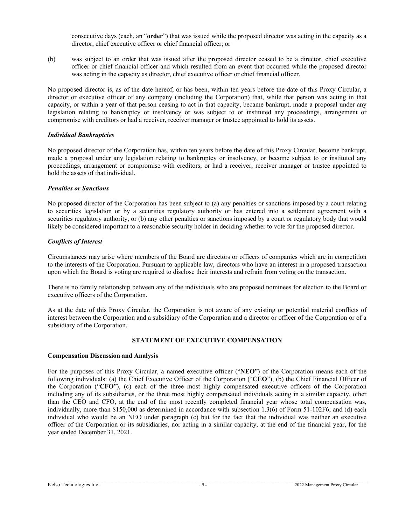consecutive days (each, an "**order**") that was issued while the proposed director was acting in the capacity as a director, chief executive officer or chief financial officer; or

(b) was subject to an order that was issued after the proposed director ceased to be a director, chief executive officer or chief financial officer and which resulted from an event that occurred while the proposed director was acting in the capacity as director, chief executive officer or chief financial officer.

No proposed director is, as of the date hereof, or has been, within ten years before the date of this Proxy Circular, a director or executive officer of any company (including the Corporation) that, while that person was acting in that capacity, or within a year of that person ceasing to act in that capacity, became bankrupt, made a proposal under any legislation relating to bankruptcy or insolvency or was subject to or instituted any proceedings, arrangement or compromise with creditors or had a receiver, receiver manager or trustee appointed to hold its assets.

### *Individual Bankruptcies*

No proposed director of the Corporation has, within ten years before the date of this Proxy Circular, become bankrupt, made a proposal under any legislation relating to bankruptcy or insolvency, or become subject to or instituted any proceedings, arrangement or compromise with creditors, or had a receiver, receiver manager or trustee appointed to hold the assets of that individual.

### *Penalties or Sanctions*

No proposed director of the Corporation has been subject to (a) any penalties or sanctions imposed by a court relating to securities legislation or by a securities regulatory authority or has entered into a settlement agreement with a securities regulatory authority, or (b) any other penalties or sanctions imposed by a court or regulatory body that would likely be considered important to a reasonable security holder in deciding whether to vote for the proposed director.

## *Conflicts of Interest*

Circumstances may arise where members of the Board are directors or officers of companies which are in competition to the interests of the Corporation. Pursuant to applicable law, directors who have an interest in a proposed transaction upon which the Board is voting are required to disclose their interests and refrain from voting on the transaction.

There is no family relationship between any of the individuals who are proposed nominees for election to the Board or executive officers of the Corporation.

As at the date of this Proxy Circular, the Corporation is not aware of any existing or potential material conflicts of interest between the Corporation and a subsidiary of the Corporation and a director or officer of the Corporation or of a subsidiary of the Corporation.

# **STATEMENT OF EXECUTIVE COMPENSATION**

### **Compensation Discussion and Analysis**

For the purposes of this Proxy Circular, a named executive officer ("**NEO**") of the Corporation means each of the following individuals: (a) the Chief Executive Officer of the Corporation ("**CEO**"), (b) the Chief Financial Officer of the Corporation ("**CFO**"), (c) each of the three most highly compensated executive officers of the Corporation including any of its subsidiaries, or the three most highly compensated individuals acting in a similar capacity, other than the CEO and CFO, at the end of the most recently completed financial year whose total compensation was, individually, more than \$150,000 as determined in accordance with subsection 1.3(6) of Form 51-102F6; and (d) each individual who would be an NEO under paragraph (c) but for the fact that the individual was neither an executive officer of the Corporation or its subsidiaries, nor acting in a similar capacity, at the end of the financial year, for the year ended December 31, 2021.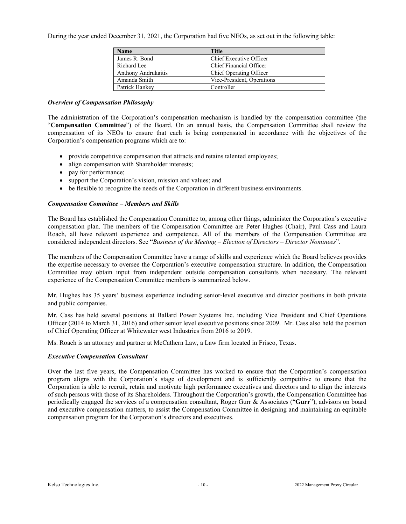During the year ended December 31, 2021, the Corporation had five NEOs, as set out in the following table:

| <b>Name</b>         | <b>Title</b>               |
|---------------------|----------------------------|
| James R. Bond       | Chief Executive Officer    |
| Richard Lee         | Chief Financial Officer    |
| Anthony Andrukaitis | Chief Operating Officer    |
| Amanda Smith        | Vice-President, Operations |
| Patrick Hankey      | Controller                 |

#### *Overview of Compensation Philosophy*

The administration of the Corporation's compensation mechanism is handled by the compensation committee (the "**Compensation Committee**") of the Board. On an annual basis, the Compensation Committee shall review the compensation of its NEOs to ensure that each is being compensated in accordance with the objectives of the Corporation's compensation programs which are to:

- provide competitive compensation that attracts and retains talented employees;
- align compensation with Shareholder interests;
- pay for performance;
- support the Corporation's vision, mission and values; and
- be flexible to recognize the needs of the Corporation in different business environments.

### *Compensation Committee – Members and Skills*

The Board has established the Compensation Committee to, among other things, administer the Corporation's executive compensation plan. The members of the Compensation Committee are Peter Hughes (Chair), Paul Cass and Laura Roach, all have relevant experience and competence. All of the members of the Compensation Committee are considered independent directors. See "*Business of the Meeting – Election of Directors – Director Nominees*".

The members of the Compensation Committee have a range of skills and experience which the Board believes provides the expertise necessary to oversee the Corporation's executive compensation structure. In addition, the Compensation Committee may obtain input from independent outside compensation consultants when necessary. The relevant experience of the Compensation Committee members is summarized below.

Mr. Hughes has 35 years' business experience including senior-level executive and director positions in both private and public companies.

Mr. Cass has held several positions at Ballard Power Systems Inc. including Vice President and Chief Operations Officer (2014 to March 31, 2016) and other senior level executive positions since 2009. Mr. Cass also held the position of Chief Operating Officer at Whitewater west Industries from 2016 to 2019.

Ms. Roach is an attorney and partner at McCathern Law, a Law firm located in Frisco, Texas.

### *Executive Compensation Consultant*

Over the last five years, the Compensation Committee has worked to ensure that the Corporation's compensation program aligns with the Corporation's stage of development and is sufficiently competitive to ensure that the Corporation is able to recruit, retain and motivate high performance executives and directors and to align the interests of such persons with those of its Shareholders. Throughout the Corporation's growth, the Compensation Committee has periodically engaged the services of a compensation consultant, Roger Gurr & Associates ("**Gurr**"), advisors on board and executive compensation matters, to assist the Compensation Committee in designing and maintaining an equitable compensation program for the Corporation's directors and executives.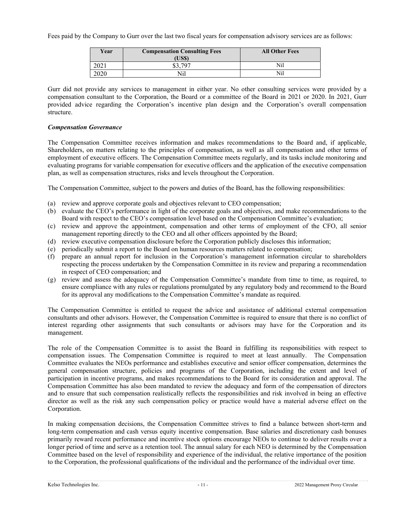Fees paid by the Company to Gurr over the last two fiscal years for compensation advisory services are as follows:

| Year                | <b>Compensation Consulting Fees</b><br>US\$) | <b>All Other Fees</b> |
|---------------------|----------------------------------------------|-----------------------|
| 404 I               |                                              | Nil                   |
| <u>מר ה</u><br>∠U∠U | Vil                                          | Nil                   |

Gurr did not provide any services to management in either year. No other consulting services were provided by a compensation consultant to the Corporation, the Board or a committee of the Board in 2021 or 2020. In 2021, Gurr provided advice regarding the Corporation's incentive plan design and the Corporation's overall compensation structure.

## *Compensation Governance*

The Compensation Committee receives information and makes recommendations to the Board and, if applicable, Shareholders, on matters relating to the principles of compensation, as well as all compensation and other terms of employment of executive officers. The Compensation Committee meets regularly, and its tasks include monitoring and evaluating programs for variable compensation for executive officers and the application of the executive compensation plan, as well as compensation structures, risks and levels throughout the Corporation.

The Compensation Committee, subject to the powers and duties of the Board, has the following responsibilities:

- (a) review and approve corporate goals and objectives relevant to CEO compensation;
- (b) evaluate the CEO's performance in light of the corporate goals and objectives, and make recommendations to the Board with respect to the CEO's compensation level based on the Compensation Committee's evaluation;
- (c) review and approve the appointment, compensation and other terms of employment of the CFO, all senior management reporting directly to the CEO and all other officers appointed by the Board;
- (d) review executive compensation disclosure before the Corporation publicly discloses this information;
- (e) periodically submit a report to the Board on human resources matters related to compensation;
- (f) prepare an annual report for inclusion in the Corporation's management information circular to shareholders respecting the process undertaken by the Compensation Committee in its review and preparing a recommendation in respect of CEO compensation; and
- (g) review and assess the adequacy of the Compensation Committee's mandate from time to time, as required, to ensure compliance with any rules or regulations promulgated by any regulatory body and recommend to the Board for its approval any modifications to the Compensation Committee's mandate as required.

The Compensation Committee is entitled to request the advice and assistance of additional external compensation consultants and other advisors. However, the Compensation Committee is required to ensure that there is no conflict of interest regarding other assignments that such consultants or advisors may have for the Corporation and its management.

The role of the Compensation Committee is to assist the Board in fulfilling its responsibilities with respect to compensation issues. The Compensation Committee is required to meet at least annually. The Compensation Committee evaluates the NEOs performance and establishes executive and senior officer compensation, determines the general compensation structure, policies and programs of the Corporation, including the extent and level of participation in incentive programs, and makes recommendations to the Board for its consideration and approval. The Compensation Committee has also been mandated to review the adequacy and form of the compensation of directors and to ensure that such compensation realistically reflects the responsibilities and risk involved in being an effective director as well as the risk any such compensation policy or practice would have a material adverse effect on the Corporation.

In making compensation decisions, the Compensation Committee strives to find a balance between short-term and long-term compensation and cash versus equity incentive compensation. Base salaries and discretionary cash bonuses primarily reward recent performance and incentive stock options encourage NEOs to continue to deliver results over a longer period of time and serve as a retention tool. The annual salary for each NEO is determined by the Compensation Committee based on the level of responsibility and experience of the individual, the relative importance of the position to the Corporation, the professional qualifications of the individual and the performance of the individual over time.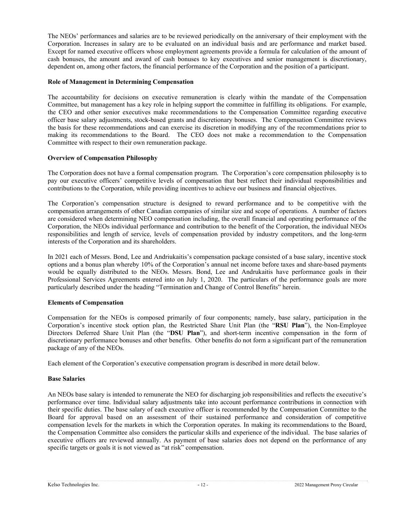The NEOs' performances and salaries are to be reviewed periodically on the anniversary of their employment with the Corporation. Increases in salary are to be evaluated on an individual basis and are performance and market based. Except for named executive officers whose employment agreements provide a formula for calculation of the amount of cash bonuses, the amount and award of cash bonuses to key executives and senior management is discretionary, dependent on, among other factors, the financial performance of the Corporation and the position of a participant.

### **Role of Management in Determining Compensation**

The accountability for decisions on executive remuneration is clearly within the mandate of the Compensation Committee, but management has a key role in helping support the committee in fulfilling its obligations. For example, the CEO and other senior executives make recommendations to the Compensation Committee regarding executive officer base salary adjustments, stock-based grants and discretionary bonuses. The Compensation Committee reviews the basis for these recommendations and can exercise its discretion in modifying any of the recommendations prior to making its recommendations to the Board. The CEO does not make a recommendation to the Compensation Committee with respect to their own remuneration package.

## **Overview of Compensation Philosophy**

The Corporation does not have a formal compensation program. The Corporation's core compensation philosophy is to pay our executive officers' competitive levels of compensation that best reflect their individual responsibilities and contributions to the Corporation, while providing incentives to achieve our business and financial objectives.

The Corporation's compensation structure is designed to reward performance and to be competitive with the compensation arrangements of other Canadian companies of similar size and scope of operations. A number of factors are considered when determining NEO compensation including, the overall financial and operating performance of the Corporation, the NEOs individual performance and contribution to the benefit of the Corporation, the individual NEOs responsibilities and length of service, levels of compensation provided by industry competitors, and the long-term interests of the Corporation and its shareholders.

In 2021 each of Messrs. Bond, Lee and Andriukaitis's compensation package consisted of a base salary, incentive stock options and a bonus plan whereby 10% of the Corporation's annual net income before taxes and share-based payments would be equally distributed to the NEOs. Messrs. Bond, Lee and Andrukaitis have performance goals in their Professional Services Agreements entered into on July 1, 2020. The particulars of the performance goals are more particularly described under the heading "Termination and Change of Control Benefits" herein.

### **Elements of Compensation**

Compensation for the NEOs is composed primarily of four components; namely, base salary, participation in the Corporation's incentive stock option plan, the Restricted Share Unit Plan (the "**RSU Plan**"), the Non-Employee Directors Deferred Share Unit Plan (the "**DSU Plan**"), and short-term incentive compensation in the form of discretionary performance bonuses and other benefits. Other benefits do not form a significant part of the remuneration package of any of the NEOs.

Each element of the Corporation's executive compensation program is described in more detail below.

### **Base Salaries**

An NEOs base salary is intended to remunerate the NEO for discharging job responsibilities and reflects the executive's performance over time. Individual salary adjustments take into account performance contributions in connection with their specific duties. The base salary of each executive officer is recommended by the Compensation Committee to the Board for approval based on an assessment of their sustained performance and consideration of competitive compensation levels for the markets in which the Corporation operates. In making its recommendations to the Board, the Compensation Committee also considers the particular skills and experience of the individual. The base salaries of executive officers are reviewed annually. As payment of base salaries does not depend on the performance of any specific targets or goals it is not viewed as "at risk" compensation.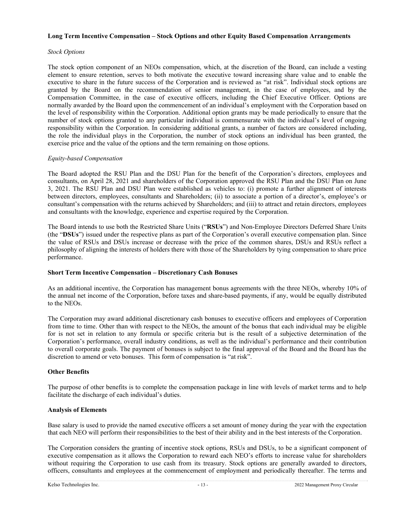### **Long Term Incentive Compensation – Stock Options and other Equity Based Compensation Arrangements**

### *Stock Options*

The stock option component of an NEOs compensation, which, at the discretion of the Board, can include a vesting element to ensure retention, serves to both motivate the executive toward increasing share value and to enable the executive to share in the future success of the Corporation and is reviewed as "at risk". Individual stock options are granted by the Board on the recommendation of senior management, in the case of employees, and by the Compensation Committee, in the case of executive officers, including the Chief Executive Officer. Options are normally awarded by the Board upon the commencement of an individual's employment with the Corporation based on the level of responsibility within the Corporation. Additional option grants may be made periodically to ensure that the number of stock options granted to any particular individual is commensurate with the individual's level of ongoing responsibility within the Corporation. In considering additional grants, a number of factors are considered including, the role the individual plays in the Corporation, the number of stock options an individual has been granted, the exercise price and the value of the options and the term remaining on those options.

### *Equity-based Compensation*

The Board adopted the RSU Plan and the DSU Plan for the benefit of the Corporation's directors, employees and consultants, on April 28, 2021 and shareholders of the Corporation approved the RSU Plan and the DSU Plan on June 3, 2021. The RSU Plan and DSU Plan were established as vehicles to: (i) promote a further alignment of interests between directors, employees, consultants and Shareholders; (ii) to associate a portion of a director's, employee's or consultant's compensation with the returns achieved by Shareholders; and (iii) to attract and retain directors, employees and consultants with the knowledge, experience and expertise required by the Corporation.

The Board intends to use both the Restricted Share Units ("**RSUs**") and Non-Employee Directors Deferred Share Units (the "**DSUs**") issued under the respective plans as part of the Corporation's overall executive compensation plan. Since the value of RSUs and DSUs increase or decrease with the price of the common shares, DSUs and RSUs reflect a philosophy of aligning the interests of holders there with those of the Shareholders by tying compensation to share price performance.

#### **Short Term Incentive Compensation – Discretionary Cash Bonuses**

As an additional incentive, the Corporation has management bonus agreements with the three NEOs, whereby 10% of the annual net income of the Corporation, before taxes and share-based payments, if any, would be equally distributed to the NEOs.

The Corporation may award additional discretionary cash bonuses to executive officers and employees of Corporation from time to time. Other than with respect to the NEOs, the amount of the bonus that each individual may be eligible for is not set in relation to any formula or specific criteria but is the result of a subjective determination of the Corporation's performance, overall industry conditions, as well as the individual's performance and their contribution to overall corporate goals. The payment of bonuses is subject to the final approval of the Board and the Board has the discretion to amend or veto bonuses. This form of compensation is "at risk".

### **Other Benefits**

The purpose of other benefits is to complete the compensation package in line with levels of market terms and to help facilitate the discharge of each individual's duties.

### **Analysis of Elements**

Base salary is used to provide the named executive officers a set amount of money during the year with the expectation that each NEO will perform their responsibilities to the best of their ability and in the best interests of the Corporation.

The Corporation considers the granting of incentive stock options, RSUs and DSUs, to be a significant component of executive compensation as it allows the Corporation to reward each NEO's efforts to increase value for shareholders without requiring the Corporation to use cash from its treasury. Stock options are generally awarded to directors, officers, consultants and employees at the commencement of employment and periodically thereafter. The terms and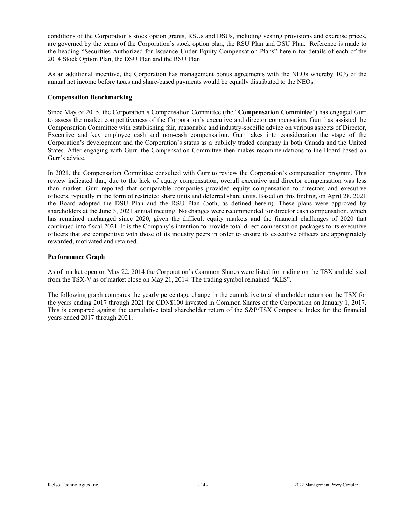conditions of the Corporation's stock option grants, RSUs and DSUs, including vesting provisions and exercise prices, are governed by the terms of the Corporation's stock option plan, the RSU Plan and DSU Plan. Reference is made to the heading "Securities Authorized for Issuance Under Equity Compensation Plans" herein for details of each of the 2014 Stock Option Plan, the DSU Plan and the RSU Plan.

As an additional incentive, the Corporation has management bonus agreements with the NEOs whereby 10% of the annual net income before taxes and share-based payments would be equally distributed to the NEOs.

### **Compensation Benchmarking**

Since May of 2015, the Corporation's Compensation Committee (the "**Compensation Committee**") has engaged Gurr to assess the market competitiveness of the Corporation's executive and director compensation. Gurr has assisted the Compensation Committee with establishing fair, reasonable and industry-specific advice on various aspects of Director, Executive and key employee cash and non-cash compensation. Gurr takes into consideration the stage of the Corporation's development and the Corporation's status as a publicly traded company in both Canada and the United States. After engaging with Gurr, the Compensation Committee then makes recommendations to the Board based on Gurr's advice.

In 2021, the Compensation Committee consulted with Gurr to review the Corporation's compensation program. This review indicated that, due to the lack of equity compensation, overall executive and director compensation was less than market. Gurr reported that comparable companies provided equity compensation to directors and executive officers, typically in the form of restricted share units and deferred share units. Based on this finding, on April 28, 2021 the Board adopted the DSU Plan and the RSU Plan (both, as defined herein). These plans were approved by shareholders at the June 3, 2021 annual meeting. No changes were recommended for director cash compensation, which has remained unchanged since 2020, given the difficult equity markets and the financial challenges of 2020 that continued into fiscal 2021. It is the Company's intention to provide total direct compensation packages to its executive officers that are competitive with those of its industry peers in order to ensure its executive officers are appropriately rewarded, motivated and retained.

### **Performance Graph**

As of market open on May 22, 2014 the Corporation's Common Shares were listed for trading on the TSX and delisted from the TSX-V as of market close on May 21, 2014. The trading symbol remained "KLS".

The following graph compares the yearly percentage change in the cumulative total shareholder return on the TSX for the years ending 2017 through 2021 for CDN\$100 invested in Common Shares of the Corporation on January 1, 2017. This is compared against the cumulative total shareholder return of the S&P/TSX Composite Index for the financial years ended 2017 through 2021.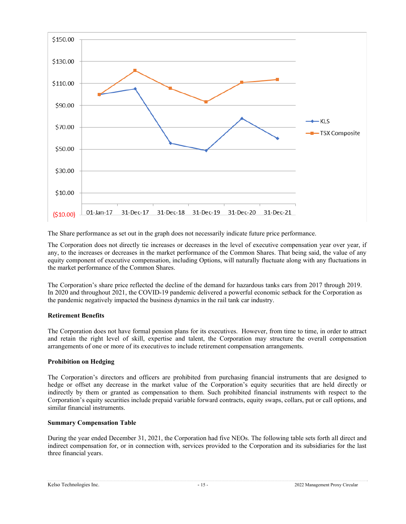

The Share performance as set out in the graph does not necessarily indicate future price performance.

The Corporation does not directly tie increases or decreases in the level of executive compensation year over year, if any, to the increases or decreases in the market performance of the Common Shares. That being said, the value of any equity component of executive compensation, including Options, will naturally fluctuate along with any fluctuations in the market performance of the Common Shares.

The Corporation's share price reflected the decline of the demand for hazardous tanks cars from 2017 through 2019. In 2020 and throughout 2021, the COVID-19 pandemic delivered a powerful economic setback for the Corporation as the pandemic negatively impacted the business dynamics in the rail tank car industry.

### **Retirement Benefits**

The Corporation does not have formal pension plans for its executives. However, from time to time, in order to attract and retain the right level of skill, expertise and talent, the Corporation may structure the overall compensation arrangements of one or more of its executives to include retirement compensation arrangements.

### **Prohibition on Hedging**

The Corporation's directors and officers are prohibited from purchasing financial instruments that are designed to hedge or offset any decrease in the market value of the Corporation's equity securities that are held directly or indirectly by them or granted as compensation to them. Such prohibited financial instruments with respect to the Corporation's equity securities include prepaid variable forward contracts, equity swaps, collars, put or call options, and similar financial instruments.

### **Summary Compensation Table**

During the year ended December 31, 2021, the Corporation had five NEOs. The following table sets forth all direct and indirect compensation for, or in connection with, services provided to the Corporation and its subsidiaries for the last three financial years.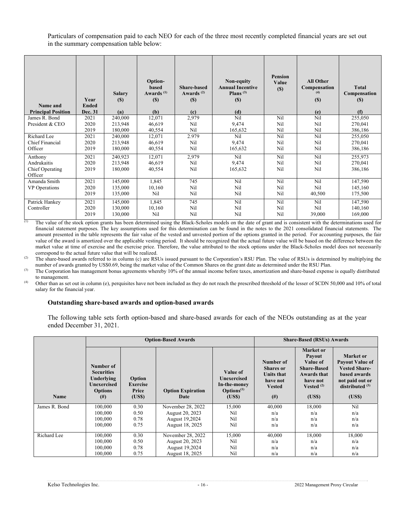Particulars of compensation paid to each NEO for each of the three most recently completed financial years are set out in the summary compensation table below:

| Name and<br><b>Principal Position</b> | Year<br><b>Ended</b><br>Dec. 31 | <b>Salary</b><br>(S)<br>(a) | Option-<br>based<br>Awards <sup>(1)</sup><br>(S)<br>(b) | Share-based<br>Awards <sup>(2)</sup><br>(S)<br>(c) | Non-equity<br><b>Annual Incentive</b><br>Plans $(3)$<br>(S)<br>(d) | <b>Pension</b><br>Value<br>(S) | <b>All Other</b><br>Compensation<br>(4)<br>(S)<br>(e) | <b>Total</b><br>Compensation<br>(S)<br>(f) |
|---------------------------------------|---------------------------------|-----------------------------|---------------------------------------------------------|----------------------------------------------------|--------------------------------------------------------------------|--------------------------------|-------------------------------------------------------|--------------------------------------------|
| James R. Bond                         | 2021                            | 240,000                     | 12,071                                                  | 2,979                                              | Nil                                                                | Nil                            | Nil                                                   | 255,050                                    |
| President & CEO                       | 2020                            | 213,948                     | 46,619                                                  | Nil                                                | 9,474                                                              | Nil                            | Nil                                                   | 270,041                                    |
|                                       | 2019                            | 180,000                     | 40,554                                                  | Nil                                                | 165,632                                                            | Nil                            | Nil                                                   | 386,186                                    |
| Richard Lee                           | 2021                            | 240,000                     | 12,071                                                  | 2.979                                              | Nil                                                                | Nil                            | Nil                                                   | 255,050                                    |
| Chief Financial                       | 2020                            | 213,948                     | 46,619                                                  | Nil                                                | 9,474                                                              | Nil                            | Nil                                                   | 270,041                                    |
| Officer                               | 2019                            | 180,000                     | 40,554                                                  | Nil                                                | 165,632                                                            | Nil                            | Ni1                                                   | 386,186                                    |
| Anthony                               | 2021                            | 240,923                     | 12,071                                                  | 2,979                                              | Nil                                                                | Nil                            | Nil                                                   | 255,973                                    |
| Andrukaitis                           | 2020                            | 213,948                     | 46,619                                                  | Nil                                                | 9,474                                                              | Nil                            | Nil                                                   | 270,041                                    |
| Chief Operating                       | 2019                            | 180,000                     | 40,554                                                  | Nil                                                | 165,632                                                            | Nil                            | Nil                                                   | 386,186                                    |
| Officer                               |                                 |                             |                                                         |                                                    |                                                                    |                                |                                                       |                                            |
| Amanda Smith                          | 2021                            | 145,000                     | 1,845                                                   | 745                                                | Nil                                                                | Nil                            | Nil                                                   | 147,590                                    |
| VP Operations                         | 2020                            | 135,000                     | 10,160                                                  | Nil                                                | Nil                                                                | Nil                            | Nil                                                   | 145,160                                    |
|                                       | 2019                            | 135,000                     | Nil                                                     | Nil                                                | Nil                                                                | Nil                            | 40,500                                                | 175,500                                    |
| Patrick Hankey                        | 2021                            | 145,000                     | 1,845                                                   | 745                                                | Ni1                                                                | Nil                            | Nil                                                   | 147,590                                    |
| Controller                            | 2020                            | 130,000                     | 10,160                                                  | Nil                                                | Nil                                                                | Nil                            | Nil                                                   | 140,160                                    |
|                                       | 2019                            | 130,000                     | Nil                                                     | Nil                                                | Nil                                                                | Nil                            | 39,000                                                | 169,000                                    |

(1) The value of the stock option grants has been determined using the Black-Scholes models on the date of grant and is consistent with the determinations used for financial statement purposes. The key assumptions used for this determination can be found in the notes to the 2021 consolidated financial statements. The amount presented in the table represents the fair value of the vested and unvested portion of the options granted in the period. For accounting purposes, the fair value of the award is amortized over the applicable vesting period. It should be recognized that the actual future value will be based on the difference between the market value at time of exercise and the exercise price. Therefore, the value attributed to the stock options under the Black-Scholes model does not necessarily correspond to the actual future value that will be realized.

<sup>(2)</sup> The share-based awards referred to in column (c) are RSUs issued pursuant to the Corporation's RSU Plan. The value of RSUs is determined by multiplying the number of awards granted by US\$0.69, being the market value of the Common Shares on the grant date as determined under the RSU Plan.

<sup>(3)</sup> The Corporation has management bonus agreements whereby 10% of the annual income before taxes, amortization and share-based expense is equally distributed to management.

(4) Other than as set out in column (e), perquisites have not been included as they do not reach the prescribed threshold of the lesser of \$CDN 50,000 and 10% of total salary for the financial year.

#### **Outstanding share-based awards and option-based awards**

The following table sets forth option-based and share-based awards for each of the NEOs outstanding as at the year ended December 31, 2021.

|               |                                                                                           |                                             | <b>Option-Based Awards</b>       | <b>Share-Based (RSUs) Awards</b>                                             |                                                                                      |                                                                                                                         |                                                                                                                              |
|---------------|-------------------------------------------------------------------------------------------|---------------------------------------------|----------------------------------|------------------------------------------------------------------------------|--------------------------------------------------------------------------------------|-------------------------------------------------------------------------------------------------------------------------|------------------------------------------------------------------------------------------------------------------------------|
| Name          | Number of<br><b>Securities</b><br>Underlying<br>Unexercised<br><b>Options</b><br>$^{(#)}$ | Option<br><b>Exercise</b><br>Price<br>(USS) | <b>Option Expiration</b><br>Date | Value of<br>Unexercised<br>In-the-money<br>$\mathbf{Options}^{(1)}$<br>(USS) | Number of<br><b>Shares</b> or<br>Units that<br>have not<br><b>Vested</b><br>$^{(#)}$ | Market or<br><b>Payout</b><br>Value of<br><b>Share-Based</b><br><b>Awards that</b><br>have not<br>Vested $(2)$<br>(USS) | Market or<br><b>Payout Value of</b><br><b>Vested Share-</b><br>based awards<br>not paid out or<br>distributed $(3)$<br>(USS) |
| James R. Bond | 100,000                                                                                   | 0.30                                        | November 28, 2022                | 15,000                                                                       | 40,000                                                                               | 18,000                                                                                                                  | Nil                                                                                                                          |
|               | 100,000                                                                                   | 0.50                                        | August 20, 2023                  | Nil                                                                          | n/a                                                                                  | n/a                                                                                                                     | n/a                                                                                                                          |
|               | 100,000                                                                                   | 0.78                                        | August 19,2024                   | Nil                                                                          | n/a                                                                                  | n/a                                                                                                                     | n/a                                                                                                                          |
|               | 100,000                                                                                   | 0.75                                        | August 18, 2025                  | Nil                                                                          | n/a                                                                                  | n/a                                                                                                                     | n/a                                                                                                                          |
| Richard Lee   | 100,000                                                                                   | 0.30                                        | November 28, 2022                | 15,000                                                                       | 40,000                                                                               | 18,000                                                                                                                  | 18,000                                                                                                                       |
|               | 100,000                                                                                   | 0.50                                        | August 20, 2023                  | Nil                                                                          | n/a                                                                                  | n/a                                                                                                                     | n/a                                                                                                                          |
|               | 100,000                                                                                   | 0.78                                        | August 19,2024                   | Nil                                                                          | n/a                                                                                  | n/a                                                                                                                     | n/a                                                                                                                          |
|               | 100,000                                                                                   | 0.75                                        | August 18, 2025                  | Nil                                                                          | n/a                                                                                  | n/a                                                                                                                     | n/a                                                                                                                          |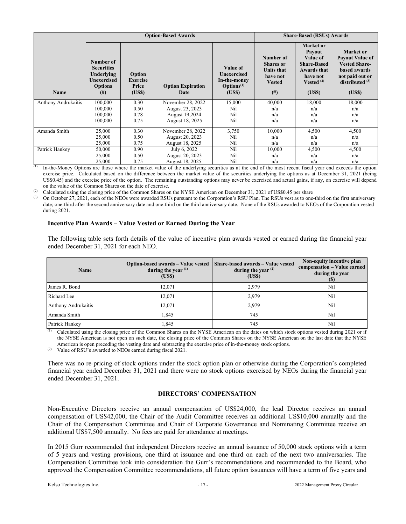|                            |                                                                                           |                                             | <b>Option-Based Awards</b>       | <b>Share-Based (RSUs) Awards</b>                                              |                                                                                         |                                                                                                                  |                                                                                                                               |
|----------------------------|-------------------------------------------------------------------------------------------|---------------------------------------------|----------------------------------|-------------------------------------------------------------------------------|-----------------------------------------------------------------------------------------|------------------------------------------------------------------------------------------------------------------|-------------------------------------------------------------------------------------------------------------------------------|
| Name                       | Number of<br><b>Securities</b><br>Underlving<br>Unexercised<br><b>Options</b><br>$^{(#)}$ | Option<br><b>Exercise</b><br>Price<br>(USS) | <b>Option Expiration</b><br>Date | Value of<br>Unexercised<br>In-the-money<br>$\mathbf{Options}^{(1)}$<br>(US\$) | Number of<br><b>Shares</b> or<br><b>Units that</b><br>have not<br><b>Vested</b><br>(# ) | Market or<br><b>Payout</b><br>Value of<br><b>Share-Based</b><br>Awards that<br>have not<br>Vested $(2)$<br>(USS) | Market or<br><b>Payout Value of</b><br><b>Vested Share-</b><br>based awards<br>not paid out or<br>distributed $(3)$<br>(US\$) |
| <b>Anthony Andrukaitis</b> | 100,000                                                                                   | 0.30                                        | November 28, 2022                | 15,000                                                                        | 40,000                                                                                  | 18,000                                                                                                           | 18,000                                                                                                                        |
|                            | 100,000                                                                                   | 0.50                                        | August 23, 2023                  | Nil                                                                           | n/a                                                                                     | n/a                                                                                                              | n/a                                                                                                                           |
|                            | 100,000                                                                                   | 0.78                                        | August 19,2024                   | Nil                                                                           | n/a                                                                                     | n/a                                                                                                              | n/a                                                                                                                           |
|                            | 100,000                                                                                   | 0.75                                        | August 18, 2025                  | Nil                                                                           | n/a                                                                                     | n/a                                                                                                              | n/a                                                                                                                           |
| Amanda Smith               | 25,000                                                                                    | 0.30                                        | November 28, 2022                | 3,750                                                                         | 10,000                                                                                  | 4,500                                                                                                            | 4,500                                                                                                                         |
|                            | 25,000                                                                                    | 0.50                                        | August 20, 2023                  | Nil                                                                           | n/a                                                                                     | n/a                                                                                                              | n/a                                                                                                                           |
|                            | 25,000                                                                                    | 0.75                                        | August 18, 2025                  | Nil                                                                           | n/a                                                                                     | n/a                                                                                                              | n/a                                                                                                                           |
| Patrick Hankey             | 50,000                                                                                    | 0.90                                        | July 6, 2022                     | Nil                                                                           | 10,000                                                                                  | 4,500                                                                                                            | 4,500                                                                                                                         |
|                            | 25,000                                                                                    | 0.50                                        | August 20, 2023                  | Nil                                                                           | n/a                                                                                     | n/a                                                                                                              | n/a                                                                                                                           |
|                            | 25,000                                                                                    | 0.75                                        | August 18, 2025                  | Nil                                                                           | n/a                                                                                     | n/a                                                                                                              | n/a                                                                                                                           |

 $\overline{1}$  In-the-Money Options are those where the market value of the underlying securities as at the end of the most recent fiscal year end exceeds the option exercise price. Calculated based on the difference between the market value of the securities underlying the options as at December 31, 2021 (being US\$0.45) and the exercise price of the option. The remaining outstanding options may never be exercised and actual gains, if any, on exercise will depend on the value of the Common Shares on the date of exercise.

Calculated using the closing price of the Common Shares on the NYSE American on December 31, 2021 of US\$0.45 per share

(3) On October 27, 2021, each of the NEOs were awarded RSUs pursuant to the Corporation's RSU Plan. The RSUs vest as to one-third on the first anniversary date; one-third after the second anniversary date and one-third on the third anniversary date. None of the RSUs awarded to NEOs of the Corporation vested during 2021.

### **Incentive Plan Awards – Value Vested or Earned During the Year**

The following table sets forth details of the value of incentive plan awards vested or earned during the financial year ended December 31, 2021 for each NEO.

| Name                       | Option-based awards - Value vested<br>during the year $(1)$<br>(US\$) | Share-based awards - Value vested<br>during the year $(2)$<br>(US\$) | Non-equity incentive plan<br>compensation - Value earned<br>during the year<br><b>(S)</b> |
|----------------------------|-----------------------------------------------------------------------|----------------------------------------------------------------------|-------------------------------------------------------------------------------------------|
| James R. Bond              | 12.071                                                                | 2.979                                                                | Nil                                                                                       |
| Richard Lee                | 12.071                                                                | 2.979                                                                | Nil                                                                                       |
| <b>Anthony Andrukaitis</b> | 12.071                                                                | 2.979                                                                | Nil                                                                                       |
| Amanda Smith               | 1.845                                                                 | 745                                                                  | Nil                                                                                       |
| Patrick Hankey             | 1,845                                                                 | 745                                                                  | Nil                                                                                       |

(1) Calculated using the closing price of the Common Shares on the NYSE American on the dates on which stock options vested during 2021 or if the NYSE American is not open on such date, the closing price of the Common Shares on the NYSE American on the last date that the NYSE American is open preceding the vesting date and subtracting the exercise price of in-the-money stock options.

Value of RSU's awarded to NEOs earned during fiscal 2021.

There was no re-pricing of stock options under the stock option plan or otherwise during the Corporation's completed financial year ended December 31, 2021 and there were no stock options exercised by NEOs during the financial year ended December 31, 2021.

# **DIRECTORS' COMPENSATION**

Non-Executive Directors receive an annual compensation of US\$24,000, the lead Director receives an annual compensation of US\$42,000, the Chair of the Audit Committee receives an additional US\$10,000 annually and the Chair of the Compensation Committee and Chair of Corporate Governance and Nominating Committee receive an additional US\$7,500 annually. No fees are paid for attendance at meetings.

In 2015 Gurr recommended that independent Directors receive an annual issuance of 50,000 stock options with a term of 5 years and vesting provisions, one third at issuance and one third on each of the next two anniversaries. The Compensation Committee took into consideration the Gurr's recommendations and recommended to the Board, who approved the Compensation Committee recommendations, all future option issuances will have a term of five years and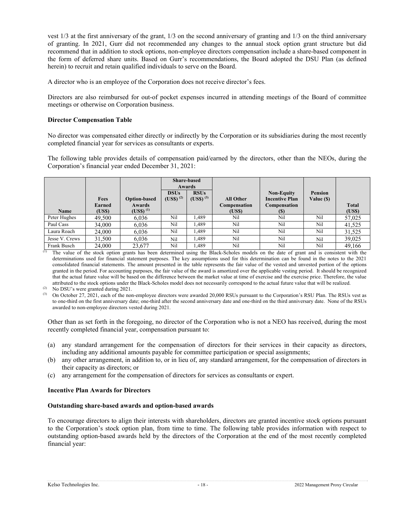vest 1/3 at the first anniversary of the grant, 1/3 on the second anniversary of granting and 1/3 on the third anniversary of granting. In 2021, Gurr did not recommended any changes to the annual stock option grant structure but did recommend that in addition to stock options, non-employee directors compensation include a share-based component in the form of deferred share units. Based on Gurr's recommendations, the Board adopted the DSU Plan (as defined herein) to recruit and retain qualified individuals to serve on the Board.

A director who is an employee of the Corporation does not receive director's fees.

Directors are also reimbursed for out-of pocket expenses incurred in attending meetings of the Board of committee meetings or otherwise on Corporation business.

# **Director Compensation Table**

No director was compensated either directly or indirectly by the Corporation or its subsidiaries during the most recently completed financial year for services as consultants or experts.

The following table provides details of compensation paid/earned by the directors, other than the NEOs, during the Corporation's financial year ended December 31, 2021:

|                |                                 |                                                       |                              | <b>Share-based</b><br><b>Awards</b> |                                                    |                                                                          |                              |                        |
|----------------|---------------------------------|-------------------------------------------------------|------------------------------|-------------------------------------|----------------------------------------------------|--------------------------------------------------------------------------|------------------------------|------------------------|
| Name           | <b>Fees</b><br>Earned<br>(US\$) | <b>Option-based</b><br><b>Awards</b><br>$(USS)^{(1)}$ | <b>DSUs</b><br>$(USS)^{(2)}$ | <b>RSUs</b><br>$(USS)^{(3)}$        | <b>All Other</b><br>Compensation<br>( <b>USS</b> ) | <b>Non-Equity</b><br><b>Incentive Plan</b><br>Compensation<br><b>(S)</b> | <b>Pension</b><br>Value (\$) | <b>Total</b><br>(US\$) |
| Peter Hughes   | 49,500                          | 6,036                                                 | Nil                          | 1.489                               | Nil                                                | Nil                                                                      | Nil                          | 57,025                 |
| Paul Cass      | 34,000                          | 6,036                                                 | Nil                          | 1.489                               | Nil                                                | Nil                                                                      | Nil                          | 41,525                 |
| Laura Roach    | 24,000                          | 6,036                                                 | Nil                          | 1.489                               | Nil                                                | Nil                                                                      | Nil                          | 31,525                 |
| Jesse V. Crews | 31,500                          | 6,036                                                 | Nil                          | 1,489                               | Nil                                                | Nil                                                                      | Nil                          | 39,025                 |
| Frank Busch    | 24,000                          | 23,677                                                | Nil                          | 1.489                               | Nil                                                | Nil                                                                      | Nil                          | 49.166                 |

The value of the stock option grants has been determined using the Black-Scholes models on the date of grant and is consistent with the determinations used for financial statement purposes. The key assumptions used for this determination can be found in the notes to the 2021 consolidated financial statements. The amount presented in the table represents the fair value of the vested and unvested portion of the options granted in the period. For accounting purposes, the fair value of the award is amortized over the applicable vesting period. It should be recognized that the actual future value will be based on the difference between the market value at time of exercise and the exercise price. Therefore, the value attributed to the stock options under the Black-Scholes model does not necessarily correspond to the actual future value that will be realized.

Other than as set forth in the foregoing, no director of the Corporation who is not a NEO has received, during the most recently completed financial year, compensation pursuant to:

- (a) any standard arrangement for the compensation of directors for their services in their capacity as directors, including any additional amounts payable for committee participation or special assignments;
- (b) any other arrangement, in addition to, or in lieu of, any standard arrangement, for the compensation of directors in their capacity as directors; or
- (c) any arrangement for the compensation of directors for services as consultants or expert.

### **Incentive Plan Awards for Directors**

### **Outstanding share-based awards and option-based awards**

To encourage directors to align their interests with shareholders, directors are granted incentive stock options pursuant to the Corporation's stock option plan, from time to time. The following table provides information with respect to outstanding option-based awards held by the directors of the Corporation at the end of the most recently completed financial year:

<sup>(2)</sup> No DSU's were granted during 2021.

<sup>(3)</sup> On October 27, 2021, each of the non-employee directors were awarded 20,000 RSUs pursuant to the Corporation's RSU Plan. The RSUs vest as to one-third on the first anniversary date; one-third after the second anniversary date and one-third on the third anniversary date. None of the RSUs awarded to non-employee directors vested during 2021.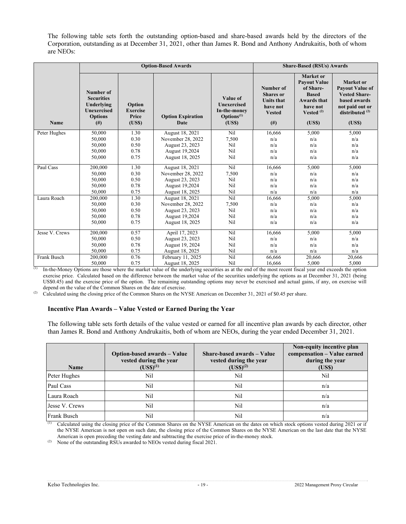The following table sets forth the outstanding option-based and share-based awards held by the directors of the Corporation, outstanding as at December 31, 2021, other than James R. Bond and Anthony Andrukaitis, both of whom are NEOs:

|                | <b>Option-Based Awards</b>                                                                     |                                             |                                  | <b>Share-Based (RSUs) Awards</b>                                                    |                                                                                              |                                                                                                                             |                                                                                                                                            |
|----------------|------------------------------------------------------------------------------------------------|---------------------------------------------|----------------------------------|-------------------------------------------------------------------------------------|----------------------------------------------------------------------------------------------|-----------------------------------------------------------------------------------------------------------------------------|--------------------------------------------------------------------------------------------------------------------------------------------|
| Name           | Number of<br><b>Securities</b><br>Underlying<br><b>Unexercised</b><br><b>Options</b><br>$($ #) | Option<br><b>Exercise</b><br>Price<br>(USS) | <b>Option Expiration</b><br>Date | Value of<br><b>Unexercised</b><br>In-the-money<br>$\mathbf{Options}^{(1)}$<br>(USS) | Number of<br><b>Shares</b> or<br><b>Units that</b><br>have not<br><b>Vested</b><br>$($ # $)$ | Market or<br><b>Payout Value</b><br>of Share-<br><b>Based</b><br><b>Awards that</b><br>have not<br>Vested $^{(2)}$<br>(USS) | <b>Market</b> or<br><b>Payout Value of</b><br><b>Vested Share-</b><br><b>based awards</b><br>not paid out or<br>distributed $(2)$<br>(USS) |
| Peter Hughes   | 50,000                                                                                         | 1.30                                        | August 18, 2021                  | Nil                                                                                 | 16,666                                                                                       | 5,000                                                                                                                       | 5,000                                                                                                                                      |
|                | 50,000                                                                                         | 0.30                                        | November 28, 2022                | 7,500                                                                               | n/a                                                                                          | n/a                                                                                                                         | n/a                                                                                                                                        |
|                | 50,000                                                                                         | 0.50                                        | August 23, 2023                  | Nil                                                                                 | n/a                                                                                          | n/a                                                                                                                         | n/a                                                                                                                                        |
|                | 50,000                                                                                         | 0.78                                        | August 19,2024                   | Nil                                                                                 | n/a                                                                                          | n/a                                                                                                                         | n/a                                                                                                                                        |
|                | 50,000                                                                                         | 0.75                                        | August 18, 2025                  | Nil                                                                                 | n/a                                                                                          | n/a                                                                                                                         | n/a                                                                                                                                        |
| Paul Cass      | 200,000                                                                                        | 1.30                                        | August 18, 2021                  | Nil                                                                                 | 16,666                                                                                       | 5,000                                                                                                                       | 5,000                                                                                                                                      |
|                | 50,000                                                                                         | 0.30                                        | November 28, 2022                | 7,500                                                                               | n/a                                                                                          | n/a                                                                                                                         | n/a                                                                                                                                        |
|                | 50,000                                                                                         | 0.50                                        | August 23, 2023                  | Nil                                                                                 | n/a                                                                                          | n/a                                                                                                                         | n/a                                                                                                                                        |
|                | 50,000                                                                                         | 0.78                                        | August 19,2024                   | Nil                                                                                 | n/a                                                                                          | n/a                                                                                                                         | n/a                                                                                                                                        |
|                | 50,000                                                                                         | 0.75                                        | August 18, 2025                  | Nil                                                                                 | n/a                                                                                          | n/a                                                                                                                         | n/a                                                                                                                                        |
| Laura Roach    | 200,000                                                                                        | 1.30                                        | August 18, 2021                  | Nil                                                                                 | 16,666                                                                                       | 5,000                                                                                                                       | 5,000                                                                                                                                      |
|                | 50,000                                                                                         | 0.30                                        | November 28, 2022                | 7,500                                                                               | n/a                                                                                          | n/a                                                                                                                         | n/a                                                                                                                                        |
|                | 50,000                                                                                         | 0.50                                        | August 23, 2023                  | Nil                                                                                 | n/a                                                                                          | n/a                                                                                                                         | n/a                                                                                                                                        |
|                | 50,000                                                                                         | 0.78                                        | August 19,2024                   | Nil                                                                                 | n/a                                                                                          | n/a                                                                                                                         | n/a                                                                                                                                        |
|                | 50,000                                                                                         | 0.75                                        | August 18, 2025                  | Nil                                                                                 | n/a                                                                                          | n/a                                                                                                                         | n/a                                                                                                                                        |
| Jesse V. Crews | 200,000                                                                                        | 0.57                                        | April 17, 2023                   | Nil                                                                                 | 16,666                                                                                       | 5,000                                                                                                                       | 5,000                                                                                                                                      |
|                | 50,000                                                                                         | 0.50                                        | August 23, 2023                  | Nil                                                                                 | n/a                                                                                          | n/a                                                                                                                         | n/a                                                                                                                                        |
|                | 50,000                                                                                         | 0.78                                        | August 19, 2024                  | Nil                                                                                 | n/a                                                                                          | n/a                                                                                                                         | n/a                                                                                                                                        |
|                | 50,000                                                                                         | 0.75                                        | August 18, 2025                  | Nil                                                                                 | n/a                                                                                          | n/a                                                                                                                         | n/a                                                                                                                                        |
| Frank Busch    | 200,000                                                                                        | 0.76                                        | February 11, 2025                | Nil                                                                                 | 66,666                                                                                       | 20,666                                                                                                                      | 20,666                                                                                                                                     |
|                | 50,000                                                                                         | 0.75                                        | August 18, 2025                  | Nil                                                                                 | 16.666                                                                                       | 5.000                                                                                                                       | 5.000                                                                                                                                      |

(1) In-the-Money Options are those where the market value of the underlying securities as at the end of the most recent fiscal year end exceeds the option exercise price. Calculated based on the difference between the market value of the securities underlying the options as at December 31, 2021 (being US\$0.45) and the exercise price of the option. The remaining outstanding options may never be exercised and actual gains, if any, on exercise will depend on the value of the Common Shares on the date of exercise.

<sup>(2)</sup> Calculated using the closing price of the Common Shares on the NYSE American on December 31, 2021 of \$0.45 per share.

### **Incentive Plan Awards – Value Vested or Earned During the Year**

The following table sets forth details of the value vested or earned for all incentive plan awards by each director, other than James R. Bond and Anthony Andrukaitis, both of whom are NEOs, during the year ended December 31, 2021.

| <b>Name</b>    | <b>Option-based awards – Value</b><br>vested during the year<br>$(USS)^{(1)}$ | Share-based awards – Value<br>vested during the year<br>$(USS)^{(2)}$ | Non-equity incentive plan<br>compensation - Value earned<br>during the year<br>(USS) |
|----------------|-------------------------------------------------------------------------------|-----------------------------------------------------------------------|--------------------------------------------------------------------------------------|
| Peter Hughes   | Nil                                                                           | Nil                                                                   | Nil                                                                                  |
| Paul Cass      | Nil                                                                           | Nil                                                                   | n/a                                                                                  |
| Laura Roach    | Nil                                                                           | Nil                                                                   | n/a                                                                                  |
| Jesse V. Crews | Nil                                                                           | Nil                                                                   | n/a                                                                                  |
| Frank Busch    | Nil                                                                           | Nil                                                                   | n/a                                                                                  |

(1) Calculated using the closing price of the Common Shares on the NYSE American on the dates on which stock options vested during 2021 or if the NYSE American is not open on such date, the closing price of the Common Shares on the NYSE American on the last date that the NYSE American is open preceding the vesting date and subtracting the exercise price of in-the-money stock.

<sup>(2)</sup> None of the outstanding RSUs awarded to NEOs vested during fiscal 2021.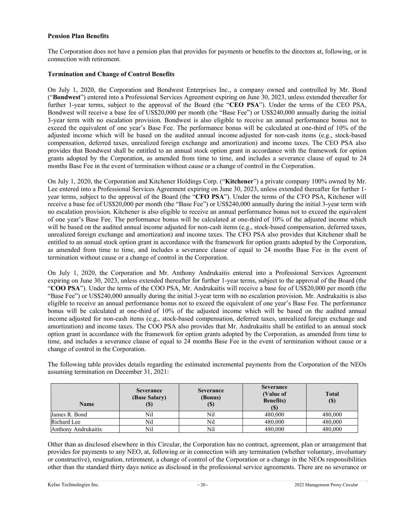### **Pension Plan Benefits**

The Corporation does not have a pension plan that provides for payments or benefits to the directors at, following, or in connection with retirement.

### **Termination and Change of Control Benefits**

On July 1, 2020, the Corporation and Bondwest Enterprises Inc., a company owned and controlled by Mr. Bond ("**Bondwest**") entered into a Professional Services Agreement expiring on June 30, 2023, unless extended thereafter for further 1-year terms, subject to the approval of the Board (the "**CEO PSA**"). Under the terms of the CEO PSA, Bondwest will receive a base fee of US\$20,000 per month (the "Base Fee") or US\$240,000 annually during the initial 3-year term with no escalation provision. Bondwest is also eligible to receive an annual performance bonus not to exceed the equivalent of one year's Base Fee. The performance bonus will be calculated at one-third of 10% of the adjusted income which will be based on the audited annual income adjusted for non-cash items (e.g., stock-based compensation, deferred taxes, unrealized foreign exchange and amortization) and income taxes. The CEO PSA also provides that Bondwest shall be entitled to an annual stock option grant in accordance with the framework for option grants adopted by the Corporation, as amended from time to time, and includes a severance clause of equal to 24 months Base Fee in the event of termination without cause or a change of control in the Corporation.

On July 1, 2020, the Corporation and Kitchener Holdings Corp. ("**Kitchener**") a private company 100% owned by Mr. Lee entered into a Professional Services Agreement expiring on June 30, 2023, unless extended thereafter for further 1 year terms, subject to the approval of the Board (the "**CFO PSA**"). Under the terms of the CFO PSA, Kitchener will receive a base fee of US\$20,000 per month (the "Base Fee") or US\$240,000 annually during the initial 3-year term with no escalation provision. Kitchener is also eligible to receive an annual performance bonus not to exceed the equivalent of one year's Base Fee. The performance bonus will be calculated at one-third of 10% of the adjusted income which will be based on the audited annual income adjusted for non-cash items (e.g., stock-based compensation, deferred taxes, unrealized foreign exchange and amortization) and income taxes. The CFO PSA also provides that Kitchener shall be entitled to an annual stock option grant in accordance with the framework for option grants adopted by the Corporation, as amended from time to time, and includes a severance clause of equal to 24 months Base Fee in the event of termination without cause or a change of control in the Corporation.

On July 1, 2020, the Corporation and Mr. Anthony Andrukaitis entered into a Professional Services Agreement expiring on June 30, 2023, unless extended thereafter for further 1-year terms, subject to the approval of the Board (the "**COO PSA**"). Under the terms of the COO PSA, Mr. Andrukaitis will receive a base fee of US\$20,000 per month (the "Base Fee") or US\$240,000 annually during the initial 3-year term with no escalation provision. Mr. Andrukaitis is also eligible to receive an annual performance bonus not to exceed the equivalent of one year's Base Fee. The performance bonus will be calculated at one-third of 10% of the adjusted income which will be based on the audited annual income adjusted for non-cash items (e.g., stock-based compensation, deferred taxes, unrealized foreign exchange and amortization) and income taxes. The COO PSA also provides that Mr. Andrukaitis shall be entitled to an annual stock option grant in accordance with the framework for option grants adopted by the Corporation, as amended from time to time, and includes a severance clause of equal to 24 months Base Fee in the event of termination without cause or a change of control in the Corporation.

The following table provides details regarding the estimated incremental payments from the Corporation of the NEOs assuming termination on December 31, 2021:

| <b>Name</b>         | <b>Severance</b><br>(Base Salary)<br>(J) | <b>Severance</b><br>(Bonus)<br>$($)$ | <b>Severance</b><br>(Value of<br><b>Benefits</b> )<br>$\mathbf{D}$ | <b>Total</b><br>$\left( \mathbb{S}\right)$ |
|---------------------|------------------------------------------|--------------------------------------|--------------------------------------------------------------------|--------------------------------------------|
| James R. Bond       | Nil                                      | Nil                                  | 480,000                                                            | 480,000                                    |
| Richard Lee         | Nil                                      | Nil                                  | 480,000                                                            | 480,000                                    |
| Anthony Andrukaitis | Nil                                      | Nil                                  | 480,000                                                            | 480,000                                    |

Other than as disclosed elsewhere in this Circular, the Corporation has no contract, agreement, plan or arrangement that provides for payments to any NEO, at, following or in connection with any termination (whether voluntary, involuntary or constructive), resignation, retirement, a change of control of the Corporation or a change in the NEOs responsibilities other than the standard thirty days notice as disclosed in the professional service agreements. There are no severance or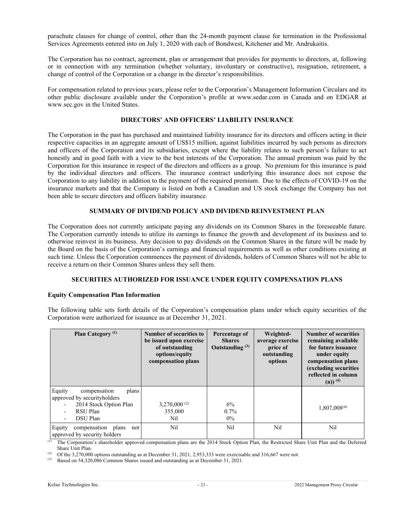parachute clauses for change of control, other than the 24-month payment clause for termination in the Professional Services Agreements entered into on July 1, 2020 with each of Bondwest, Kitchener and Mr. Andrukaitis.

The Corporation has no contract, agreement, plan or arrangement that provides for payments to directors, at, following or in connection with any termination (whether voluntary, involuntary or constructive), resignation, retirement, a change of control of the Corporation or a change in the director's responsibilities.

For compensation related to previous years, please refer to the Corporation's Management Information Circulars and its other public disclosure available under the Corporation's profile at www.sedar.com in Canada and on EDGAR at www.sec.gov in the United States.

### **DIRECTORS' AND OFFICERS' LIABILITY INSURANCE**

The Corporation in the past has purchased and maintained liability insurance for its directors and officers acting in their respective capacities in an aggregate amount of US\$15 million, against liabilities incurred by such persons as directors and officers of the Corporation and its subsidiaries, except where the liability relates to such person's failure to act honestly and in good faith with a view to the best interests of the Corporation. The annual premium was paid by the Corporation for this insurance in respect of the directors and officers as a group. No premium for this insurance is paid by the individual directors and officers. The insurance contract underlying this insurance does not expose the Corporation to any liability in addition to the payment of the required premium. Due to the effects of COVID-19 on the insurance markets and that the Company is listed on both a Canadian and US stock exchange the Company has not been able to secure directors and officers liability insurance.

### **SUMMARY OF DIVIDEND POLICY AND DIVIDEND REINVESTMENT PLAN**

The Corporation does not currently anticipate paying any dividends on its Common Shares in the foreseeable future. The Corporation currently intends to utilize its earnings to finance the growth and development of its business and to otherwise reinvest in its business. Any decision to pay dividends on the Common Shares in the future will be made by the Board on the basis of the Corporation's earnings and financial requirements as well as other conditions existing at such time. Unless the Corporation commences the payment of dividends, holders of Common Shares will not be able to receive a return on their Common Shares unless they sell them.

#### **SECURITIES AUTHORIZED FOR ISSUANCE UNDER EQUITY COMPENSATION PLANS**

#### **Equity Compensation Plan Information**

The following table sets forth details of the Corporation's compensation plans under which equity securities of the Corporation were authorized for issuance as at December 31, 2021.

| Plan Category <sup>(1)</sup>                                                                                                                        | Number of securities to<br>be issued upon exercise<br>of outstanding<br>options/equity<br>compensation plans | Percentage of<br><b>Shares</b><br>Outstanding $(3)$ | Weighted-<br>average exercise<br>price of<br>outstanding<br>options | <b>Number of securities</b><br>remaining available<br>for future issuance<br>under equity<br>compensation plans<br>(excluding securities<br>reflected in column<br>(a)) $(4)$ |
|-----------------------------------------------------------------------------------------------------------------------------------------------------|--------------------------------------------------------------------------------------------------------------|-----------------------------------------------------|---------------------------------------------------------------------|-------------------------------------------------------------------------------------------------------------------------------------------------------------------------------|
| Equity<br>compensation<br>plans<br>approved by securityholders<br>2014 Stock Option Plan<br>RSU Plan<br><b>DSU</b> Plan<br>$\overline{\phantom{a}}$ | $3,270,000^{(2)}$<br>355,000<br>Nil                                                                          | 6%<br>$0.7\%$<br>$0\%$                              |                                                                     | 1,807,008 <sup>(4)</sup>                                                                                                                                                      |
| Equity<br>compensation plans<br>not<br>approved by security holders                                                                                 | Nil                                                                                                          | Nil                                                 | Nil                                                                 | Nil                                                                                                                                                                           |

(1) The Corporation's shareholder approved compensation plans are the 2014 Stock Option Plan, the Restricted Share Unit Plan and the Deferred Share Unit Plan.

(2) Of the 3,270,000 options outstanding as at December 31, 2021, 2,953,333 were exercisable and 316,667 were not.

(3) Based on 54,320,086 Common Shares issued and outstanding as at December 31, 2021.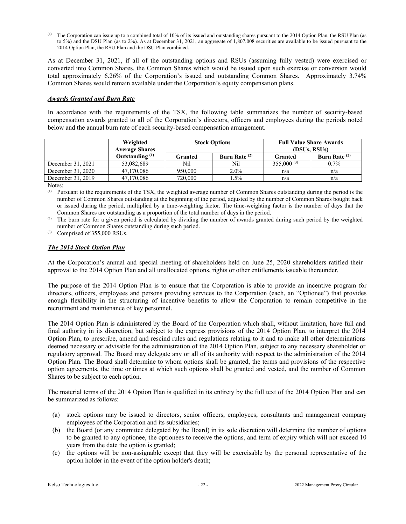The Corporation can issue up to a combined total of 10% of its issued and outstanding shares pursuant to the 2014 Option Plan, the RSU Plan (as to 5%) and the DSU Plan (as to 2%). As at December 31, 2021, an aggregate of 1,807,008 securities are available to be issued pursuant to the 2014 Option Plan, the RSU Plan and the DSU Plan combined.

As at December 31, 2021, if all of the outstanding options and RSUs (assuming fully vested) were exercised or converted into Common Shares, the Common Shares which would be issued upon such exercise or conversion would total approximately 6.26% of the Corporation's issued and outstanding Common Shares. Approximately 3.74% Common Shares would remain available under the Corporation's equity compensation plans.

### *Awards Granted and Burn Rate*

In accordance with the requirements of the TSX, the following table summarizes the number of security-based compensation awards granted to all of the Corporation's directors, officers and employees during the periods noted below and the annual burn rate of each security-based compensation arrangement.

|                   | Weighted<br><b>Average Shares</b> |         | <b>Stock Options</b> | <b>Full Value Share Awards</b><br>(DSUs, RSUs) |                 |
|-------------------|-----------------------------------|---------|----------------------|------------------------------------------------|-----------------|
|                   | Outstanding $(1)$                 | Granted | Burn Rate $(2)$      | Granted                                        | Burn Rate $(2)$ |
| December 31, 2021 | 53,082,689                        | Nil     | Nil                  | $355,000^{(3)}$                                | 0.7%            |
| December 31, 2020 | 47,170,086                        | 950,000 | $2.0\%$              | n/a                                            | n/a             |
| December 31, 2019 | 47,170,086                        | 720,000 | 1.5%                 | n/a                                            | n/a             |

Notes:

(1) Pursuant to the requirements of the TSX, the weighted average number of Common Shares outstanding during the period is the number of Common Shares outstanding at the beginning of the period, adjusted by the number of Common Shares bought back or issued during the period, multiplied by a time-weighting factor. The time-weighting factor is the number of days that the Common Shares are outstanding as a proportion of the total number of days in the period.

<sup>(2)</sup> The burn rate for a given period is calculated by dividing the number of awards granted during such period by the weighted number of Common Shares outstanding during such period.

(3) Comprised of 355,000 RSUs.

## *The 2014 Stock Option Plan*

At the Corporation's annual and special meeting of shareholders held on June 25, 2020 shareholders ratified their approval to the 2014 Option Plan and all unallocated options, rights or other entitlements issuable thereunder.

The purpose of the 2014 Option Plan is to ensure that the Corporation is able to provide an incentive program for directors, officers, employees and persons providing services to the Corporation (each, an "Optionee") that provides enough flexibility in the structuring of incentive benefits to allow the Corporation to remain competitive in the recruitment and maintenance of key personnel.

The 2014 Option Plan is administered by the Board of the Corporation which shall, without limitation, have full and final authority in its discretion, but subject to the express provisions of the 2014 Option Plan, to interpret the 2014 Option Plan, to prescribe, amend and rescind rules and regulations relating to it and to make all other determinations deemed necessary or advisable for the administration of the 2014 Option Plan, subject to any necessary shareholder or regulatory approval. The Board may delegate any or all of its authority with respect to the administration of the 2014 Option Plan. The Board shall determine to whom options shall be granted, the terms and provisions of the respective option agreements, the time or times at which such options shall be granted and vested, and the number of Common Shares to be subject to each option.

The material terms of the 2014 Option Plan is qualified in its entirety by the full text of the 2014 Option Plan and can be summarized as follows:

- (a) stock options may be issued to directors, senior officers, employees, consultants and management company employees of the Corporation and its subsidiaries;
- (b) the Board (or any committee delegated by the Board) in its sole discretion will determine the number of options to be granted to any optionee, the optionees to receive the options, and term of expiry which will not exceed 10 years from the date the option is granted;
- (c) the options will be non-assignable except that they will be exercisable by the personal representative of the option holder in the event of the option holder's death;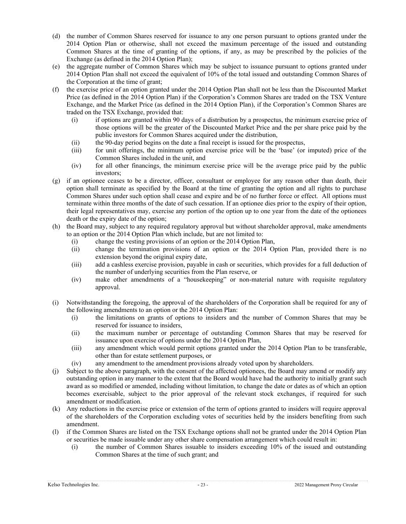- (d) the number of Common Shares reserved for issuance to any one person pursuant to options granted under the 2014 Option Plan or otherwise, shall not exceed the maximum percentage of the issued and outstanding Common Shares at the time of granting of the options, if any, as may be prescribed by the policies of the Exchange (as defined in the 2014 Option Plan);
- (e) the aggregate number of Common Shares which may be subject to issuance pursuant to options granted under 2014 Option Plan shall not exceed the equivalent of 10% of the total issued and outstanding Common Shares of the Corporation at the time of grant;
- (f) the exercise price of an option granted under the 2014 Option Plan shall not be less than the Discounted Market Price (as defined in the 2014 Option Plan) if the Corporation's Common Shares are traded on the TSX Venture Exchange, and the Market Price (as defined in the 2014 Option Plan), if the Corporation's Common Shares are traded on the TSX Exchange, provided that:
	- (i) if options are granted within 90 days of a distribution by a prospectus, the minimum exercise price of those options will be the greater of the Discounted Market Price and the per share price paid by the public investors for Common Shares acquired under the distribution,
	- (ii) the 90-day period begins on the date a final receipt is issued for the prospectus,
	- (iii) for unit offerings, the minimum option exercise price will be the 'base' (or imputed) price of the Common Shares included in the unit, and
	- (iv) for all other financings, the minimum exercise price will be the average price paid by the public investors;
- (g) if an optionee ceases to be a director, officer, consultant or employee for any reason other than death, their option shall terminate as specified by the Board at the time of granting the option and all rights to purchase Common Shares under such option shall cease and expire and be of no further force or effect. All options must terminate within three months of the date of such cessation. If an optionee dies prior to the expiry of their option, their legal representatives may, exercise any portion of the option up to one year from the date of the optionees death or the expiry date of the option;
- (h) the Board may, subject to any required regulatory approval but without shareholder approval, make amendments to an option or the 2014 Option Plan which include, but are not limited to:
	- (i) change the vesting provisions of an option or the 2014 Option Plan,
	- (ii) change the termination provisions of an option or the 2014 Option Plan, provided there is no extension beyond the original expiry date,
	- (iii) add a cashless exercise provision, payable in cash or securities, which provides for a full deduction of the number of underlying securities from the Plan reserve, or
	- (iv) make other amendments of a "housekeeping" or non-material nature with requisite regulatory approval.
- (i) Notwithstanding the foregoing, the approval of the shareholders of the Corporation shall be required for any of the following amendments to an option or the 2014 Option Plan:
	- (i) the limitations on grants of options to insiders and the number of Common Shares that may be reserved for issuance to insiders,
	- (ii) the maximum number or percentage of outstanding Common Shares that may be reserved for issuance upon exercise of options under the 2014 Option Plan,
	- (iii) any amendment which would permit options granted under the 2014 Option Plan to be transferable, other than for estate settlement purposes, or
	- (iv) any amendment to the amendment provisions already voted upon by shareholders.
- (j) Subject to the above paragraph, with the consent of the affected optionees, the Board may amend or modify any outstanding option in any manner to the extent that the Board would have had the authority to initially grant such award as so modified or amended, including without limitation, to change the date or dates as of which an option becomes exercisable, subject to the prior approval of the relevant stock exchanges, if required for such amendment or modification.
- (k) Any reductions in the exercise price or extension of the term of options granted to insiders will require approval of the shareholders of the Corporation excluding votes of securities held by the insiders benefiting from such amendment.
- (l) if the Common Shares are listed on the TSX Exchange options shall not be granted under the 2014 Option Plan or securities be made issuable under any other share compensation arrangement which could result in:
	- (i) the number of Common Shares issuable to insiders exceeding 10% of the issued and outstanding Common Shares at the time of such grant; and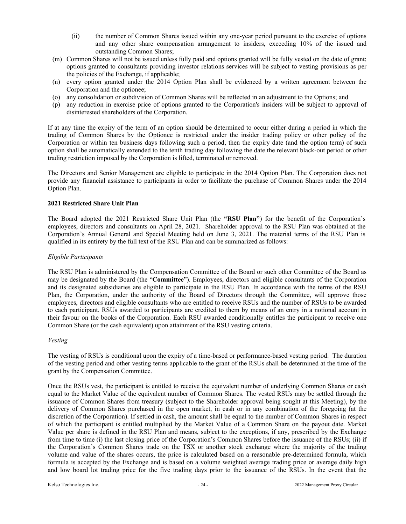- (ii) the number of Common Shares issued within any one-year period pursuant to the exercise of options and any other share compensation arrangement to insiders, exceeding 10% of the issued and outstanding Common Shares;
- (m) Common Shares will not be issued unless fully paid and options granted will be fully vested on the date of grant; options granted to consultants providing investor relations services will be subject to vesting provisions as per the policies of the Exchange, if applicable;
- (n) every option granted under the 2014 Option Plan shall be evidenced by a written agreement between the Corporation and the optionee;
- (o) any consolidation or subdivision of Common Shares will be reflected in an adjustment to the Options; and
- (p) any reduction in exercise price of options granted to the Corporation's insiders will be subject to approval of disinterested shareholders of the Corporation.

If at any time the expiry of the term of an option should be determined to occur either during a period in which the trading of Common Shares by the Optionee is restricted under the insider trading policy or other policy of the Corporation or within ten business days following such a period, then the expiry date (and the option term) of such option shall be automatically extended to the tenth trading day following the date the relevant black-out period or other trading restriction imposed by the Corporation is lifted, terminated or removed.

The Directors and Senior Management are eligible to participate in the 2014 Option Plan. The Corporation does not provide any financial assistance to participants in order to facilitate the purchase of Common Shares under the 2014 Option Plan.

## **2021 Restricted Share Unit Plan**

The Board adopted the 2021 Restricted Share Unit Plan (the **"RSU Plan"**) for the benefit of the Corporation's employees, directors and consultants on April 28, 2021. Shareholder approval to the RSU Plan was obtained at the Corporation's Annual General and Special Meeting held on June 3, 2021. The material terms of the RSU Plan is qualified in its entirety by the full text of the RSU Plan and can be summarized as follows:

## *Eligible Participants*

The RSU Plan is administered by the Compensation Committee of the Board or such other Committee of the Board as may be designated by the Board (the "**Committee**"). Employees, directors and eligible consultants of the Corporation and its designated subsidiaries are eligible to participate in the RSU Plan. In accordance with the terms of the RSU Plan, the Corporation, under the authority of the Board of Directors through the Committee, will approve those employees, directors and eligible consultants who are entitled to receive RSUs and the number of RSUs to be awarded to each participant. RSUs awarded to participants are credited to them by means of an entry in a notional account in their favour on the books of the Corporation. Each RSU awarded conditionally entitles the participant to receive one Common Share (or the cash equivalent) upon attainment of the RSU vesting criteria.

### *Vesting*

The vesting of RSUs is conditional upon the expiry of a time-based or performance-based vesting period. The duration of the vesting period and other vesting terms applicable to the grant of the RSUs shall be determined at the time of the grant by the Compensation Committee.

Once the RSUs vest, the participant is entitled to receive the equivalent number of underlying Common Shares or cash equal to the Market Value of the equivalent number of Common Shares. The vested RSUs may be settled through the issuance of Common Shares from treasury (subject to the Shareholder approval being sought at this Meeting), by the delivery of Common Shares purchased in the open market, in cash or in any combination of the foregoing (at the discretion of the Corporation). If settled in cash, the amount shall be equal to the number of Common Shares in respect of which the participant is entitled multiplied by the Market Value of a Common Share on the payout date. Market Value per share is defined in the RSU Plan and means, subject to the exceptions, if any, prescribed by the Exchange from time to time (i) the last closing price of the Corporation's Common Shares before the issuance of the RSUs; (ii) if the Corporation's Common Shares trade on the TSX or another stock exchange where the majority of the trading volume and value of the shares occurs, the price is calculated based on a reasonable pre-determined formula, which formula is accepted by the Exchange and is based on a volume weighted average trading price or average daily high and low board lot trading price for the five trading days prior to the issuance of the RSUs. In the event that the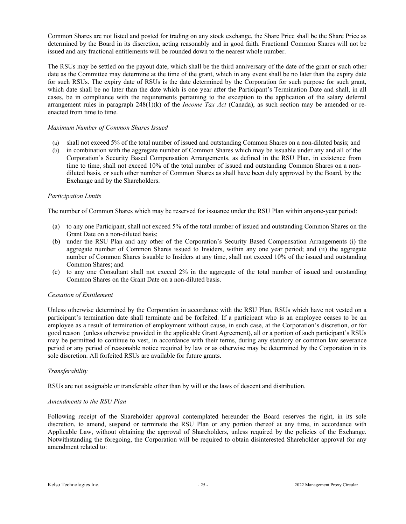Common Shares are not listed and posted for trading on any stock exchange, the Share Price shall be the Share Price as determined by the Board in its discretion, acting reasonably and in good faith. Fractional Common Shares will not be issued and any fractional entitlements will be rounded down to the nearest whole number.

The RSUs may be settled on the payout date, which shall be the third anniversary of the date of the grant or such other date as the Committee may determine at the time of the grant, which in any event shall be no later than the expiry date for such RSUs. The expiry date of RSUs is the date determined by the Corporation for such purpose for such grant, which date shall be no later than the date which is one year after the Participant's Termination Date and shall, in all cases, be in compliance with the requirements pertaining to the exception to the application of the salary deferral arrangement rules in paragraph 248(1)(k) of the *Income Tax Act* (Canada), as such section may be amended or reenacted from time to time.

### *Maximum Number of Common Shares Issued*

- (a) shall not exceed 5% of the total number of issued and outstanding Common Shares on a non-diluted basis; and
- (b) in combination with the aggregate number of Common Shares which may be issuable under any and all of the Corporation's Security Based Compensation Arrangements, as defined in the RSU Plan, in existence from time to time, shall not exceed 10% of the total number of issued and outstanding Common Shares on a nondiluted basis, or such other number of Common Shares as shall have been duly approved by the Board, by the Exchange and by the Shareholders.

#### *Participation Limits*

The number of Common Shares which may be reserved for issuance under the RSU Plan within anyone-year period:

- (a) to any one Participant, shall not exceed 5% of the total number of issued and outstanding Common Shares on the Grant Date on a non-diluted basis;
- (b) under the RSU Plan and any other of the Corporation's Security Based Compensation Arrangements (i) the aggregate number of Common Shares issued to Insiders, within any one year period; and (ii) the aggregate number of Common Shares issuable to Insiders at any time, shall not exceed 10% of the issued and outstanding Common Shares; and
- (c) to any one Consultant shall not exceed 2% in the aggregate of the total number of issued and outstanding Common Shares on the Grant Date on a non-diluted basis.

#### *Cessation of Entitlement*

Unless otherwise determined by the Corporation in accordance with the RSU Plan, RSUs which have not vested on a participant's termination date shall terminate and be forfeited. If a participant who is an employee ceases to be an employee as a result of termination of employment without cause, in such case, at the Corporation's discretion, or for good reason (unless otherwise provided in the applicable Grant Agreement), all or a portion of such participant's RSUs may be permitted to continue to vest, in accordance with their terms, during any statutory or common law severance period or any period of reasonable notice required by law or as otherwise may be determined by the Corporation in its sole discretion. All forfeited RSUs are available for future grants.

### *Transferability*

RSUs are not assignable or transferable other than by will or the laws of descent and distribution.

#### *Amendments to the RSU Plan*

Following receipt of the Shareholder approval contemplated hereunder the Board reserves the right, in its sole discretion, to amend, suspend or terminate the RSU Plan or any portion thereof at any time, in accordance with Applicable Law, without obtaining the approval of Shareholders, unless required by the policies of the Exchange. Notwithstanding the foregoing, the Corporation will be required to obtain disinterested Shareholder approval for any amendment related to: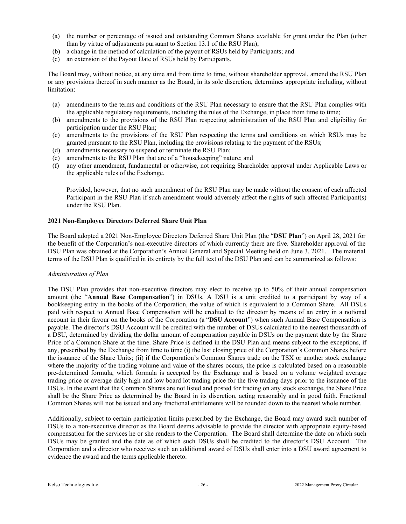- (a) the number or percentage of issued and outstanding Common Shares available for grant under the Plan (other than by virtue of adjustments pursuant to Section 13.1 of the RSU Plan);
- (b) a change in the method of calculation of the payout of RSUs held by Participants; and
- (c) an extension of the Payout Date of RSUs held by Participants.

The Board may, without notice, at any time and from time to time, without shareholder approval, amend the RSU Plan or any provisions thereof in such manner as the Board, in its sole discretion, determines appropriate including, without limitation:

- (a) amendments to the terms and conditions of the RSU Plan necessary to ensure that the RSU Plan complies with the applicable regulatory requirements, including the rules of the Exchange, in place from time to time;
- (b) amendments to the provisions of the RSU Plan respecting administration of the RSU Plan and eligibility for participation under the RSU Plan;
- (c) amendments to the provisions of the RSU Plan respecting the terms and conditions on which RSUs may be granted pursuant to the RSU Plan, including the provisions relating to the payment of the RSUs;
- (d) amendments necessary to suspend or terminate the RSU Plan;
- (e) amendments to the RSU Plan that are of a "housekeeping" nature; and
- (f) any other amendment, fundamental or otherwise, not requiring Shareholder approval under Applicable Laws or the applicable rules of the Exchange.

Provided, however, that no such amendment of the RSU Plan may be made without the consent of each affected Participant in the RSU Plan if such amendment would adversely affect the rights of such affected Participant(s) under the RSU Plan.

## **2021 Non-Employee Directors Deferred Share Unit Plan**

The Board adopted a 2021 Non-Employee Directors Deferred Share Unit Plan (the "**DSU Plan**") on April 28, 2021 for the benefit of the Corporation's non-executive directors of which currently there are five. Shareholder approval of the DSU Plan was obtained at the Corporation's Annual General and Special Meeting held on June 3, 2021. The material terms of the DSU Plan is qualified in its entirety by the full text of the DSU Plan and can be summarized as follows:

### *Administration of Plan*

The DSU Plan provides that non-executive directors may elect to receive up to 50% of their annual compensation amount (the "**Annual Base Compensation**") in DSUs. A DSU is a unit credited to a participant by way of a bookkeeping entry in the books of the Corporation, the value of which is equivalent to a Common Share. All DSUs paid with respect to Annual Base Compensation will be credited to the director by means of an entry in a notional account in their favour on the books of the Corporation (a "**DSU Account**") when such Annual Base Compensation is payable. The director's DSU Account will be credited with the number of DSUs calculated to the nearest thousandth of a DSU, determined by dividing the dollar amount of compensation payable in DSUs on the payment date by the Share Price of a Common Share at the time. Share Price is defined in the DSU Plan and means subject to the exceptions, if any, prescribed by the Exchange from time to time (i) the last closing price of the Corporation's Common Shares before the issuance of the Share Units; (ii) if the Corporation's Common Shares trade on the TSX or another stock exchange where the majority of the trading volume and value of the shares occurs, the price is calculated based on a reasonable pre-determined formula, which formula is accepted by the Exchange and is based on a volume weighted average trading price or average daily high and low board lot trading price for the five trading days prior to the issuance of the DSUs. In the event that the Common Shares are not listed and posted for trading on any stock exchange, the Share Price shall be the Share Price as determined by the Board in its discretion, acting reasonably and in good faith. Fractional Common Shares will not be issued and any fractional entitlements will be rounded down to the nearest whole number.

Additionally, subject to certain participation limits prescribed by the Exchange, the Board may award such number of DSUs to a non-executive director as the Board deems advisable to provide the director with appropriate equity-based compensation for the services he or she renders to the Corporation. The Board shall determine the date on which such DSUs may be granted and the date as of which such DSUs shall be credited to the director's DSU Account. The Corporation and a director who receives such an additional award of DSUs shall enter into a DSU award agreement to evidence the award and the terms applicable thereto.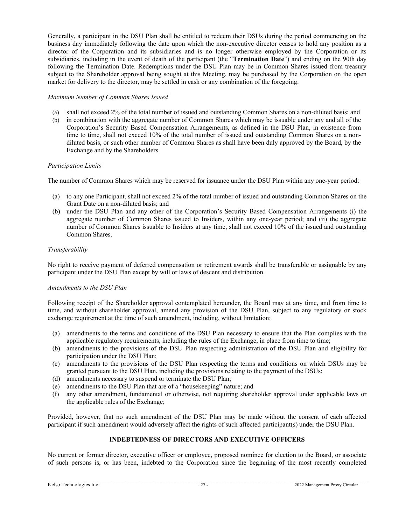Generally, a participant in the DSU Plan shall be entitled to redeem their DSUs during the period commencing on the business day immediately following the date upon which the non-executive director ceases to hold any position as a director of the Corporation and its subsidiaries and is no longer otherwise employed by the Corporation or its subsidiaries, including in the event of death of the participant (the "**Termination Date**") and ending on the 90th day following the Termination Date. Redemptions under the DSU Plan may be in Common Shares issued from treasury subject to the Shareholder approval being sought at this Meeting, may be purchased by the Corporation on the open market for delivery to the director, may be settled in cash or any combination of the foregoing.

### *Maximum Number of Common Shares Issued*

- (a) shall not exceed 2% of the total number of issued and outstanding Common Shares on a non-diluted basis; and
- (b) in combination with the aggregate number of Common Shares which may be issuable under any and all of the Corporation's Security Based Compensation Arrangements, as defined in the DSU Plan, in existence from time to time, shall not exceed 10% of the total number of issued and outstanding Common Shares on a nondiluted basis, or such other number of Common Shares as shall have been duly approved by the Board, by the Exchange and by the Shareholders.

### *Participation Limits*

The number of Common Shares which may be reserved for issuance under the DSU Plan within any one-year period:

- (a) to any one Participant, shall not exceed 2% of the total number of issued and outstanding Common Shares on the Grant Date on a non-diluted basis; and
- (b) under the DSU Plan and any other of the Corporation's Security Based Compensation Arrangements (i) the aggregate number of Common Shares issued to Insiders, within any one-year period; and (ii) the aggregate number of Common Shares issuable to Insiders at any time, shall not exceed 10% of the issued and outstanding Common Shares.

#### *Transferability*

No right to receive payment of deferred compensation or retirement awards shall be transferable or assignable by any participant under the DSU Plan except by will or laws of descent and distribution.

#### *Amendments to the DSU Plan*

Following receipt of the Shareholder approval contemplated hereunder, the Board may at any time, and from time to time, and without shareholder approval, amend any provision of the DSU Plan, subject to any regulatory or stock exchange requirement at the time of such amendment, including, without limitation:

- (a) amendments to the terms and conditions of the DSU Plan necessary to ensure that the Plan complies with the applicable regulatory requirements, including the rules of the Exchange, in place from time to time;
- (b) amendments to the provisions of the DSU Plan respecting administration of the DSU Plan and eligibility for participation under the DSU Plan;
- (c) amendments to the provisions of the DSU Plan respecting the terms and conditions on which DSUs may be granted pursuant to the DSU Plan, including the provisions relating to the payment of the DSUs;
- (d) amendments necessary to suspend or terminate the DSU Plan;
- (e) amendments to the DSU Plan that are of a "housekeeping" nature; and
- (f) any other amendment, fundamental or otherwise, not requiring shareholder approval under applicable laws or the applicable rules of the Exchange;

Provided, however, that no such amendment of the DSU Plan may be made without the consent of each affected participant if such amendment would adversely affect the rights of such affected participant(s) under the DSU Plan.

### **INDEBTEDNESS OF DIRECTORS AND EXECUTIVE OFFICERS**

No current or former director, executive officer or employee, proposed nominee for election to the Board, or associate of such persons is, or has been, indebted to the Corporation since the beginning of the most recently completed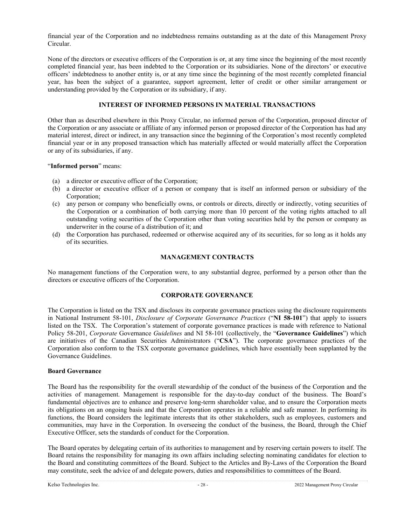financial year of the Corporation and no indebtedness remains outstanding as at the date of this Management Proxy Circular.

None of the directors or executive officers of the Corporation is or, at any time since the beginning of the most recently completed financial year, has been indebted to the Corporation or its subsidiaries. None of the directors' or executive officers' indebtedness to another entity is, or at any time since the beginning of the most recently completed financial year, has been the subject of a guarantee, support agreement, letter of credit or other similar arrangement or understanding provided by the Corporation or its subsidiary, if any.

# **INTEREST OF INFORMED PERSONS IN MATERIAL TRANSACTIONS**

Other than as described elsewhere in this Proxy Circular, no informed person of the Corporation, proposed director of the Corporation or any associate or affiliate of any informed person or proposed director of the Corporation has had any material interest, direct or indirect, in any transaction since the beginning of the Corporation's most recently completed financial year or in any proposed transaction which has materially affected or would materially affect the Corporation or any of its subsidiaries, if any.

### "**Informed person**" means:

- (a) a director or executive officer of the Corporation;
- (b) a director or executive officer of a person or company that is itself an informed person or subsidiary of the Corporation;
- (c) any person or company who beneficially owns, or controls or directs, directly or indirectly, voting securities of the Corporation or a combination of both carrying more than 10 percent of the voting rights attached to all outstanding voting securities of the Corporation other than voting securities held by the person or company as underwriter in the course of a distribution of it; and
- (d) the Corporation has purchased, redeemed or otherwise acquired any of its securities, for so long as it holds any of its securities.

## **MANAGEMENT CONTRACTS**

No management functions of the Corporation were, to any substantial degree, performed by a person other than the directors or executive officers of the Corporation.

# **CORPORATE GOVERNANCE**

The Corporation is listed on the TSX and discloses its corporate governance practices using the disclosure requirements in National Instrument 58-101, *Disclosure of Corporate Governance Practices* ("**NI 58-101**") that apply to issuers listed on the TSX. The Corporation's statement of corporate governance practices is made with reference to National Policy 58-201, *Corporate* Governance *Guidelines* and NI 58-101 (collectively, the "**Governance Guidelines**") which are initiatives of the Canadian Securities Administrators ("**CSA**"). The corporate governance practices of the Corporation also conform to the TSX corporate governance guidelines, which have essentially been supplanted by the Governance Guidelines.

### **Board Governance**

The Board has the responsibility for the overall stewardship of the conduct of the business of the Corporation and the activities of management. Management is responsible for the day-to-day conduct of the business. The Board's fundamental objectives are to enhance and preserve long-term shareholder value, and to ensure the Corporation meets its obligations on an ongoing basis and that the Corporation operates in a reliable and safe manner. In performing its functions, the Board considers the legitimate interests that its other stakeholders, such as employees, customers and communities, may have in the Corporation. In overseeing the conduct of the business, the Board, through the Chief Executive Officer, sets the standards of conduct for the Corporation.

The Board operates by delegating certain of its authorities to management and by reserving certain powers to itself. The Board retains the responsibility for managing its own affairs including selecting nominating candidates for election to the Board and constituting committees of the Board. Subject to the Articles and By-Laws of the Corporation the Board may constitute, seek the advice of and delegate powers, duties and responsibilities to committees of the Board.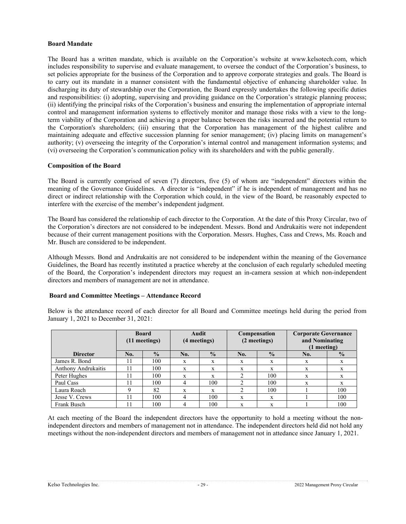### **Board Mandate**

The Board has a written mandate, which is available on the Corporation's website at www.kelsotech.com, which includes responsibility to supervise and evaluate management, to oversee the conduct of the Corporation's business, to set policies appropriate for the business of the Corporation and to approve corporate strategies and goals. The Board is to carry out its mandate in a manner consistent with the fundamental objective of enhancing shareholder value. In discharging its duty of stewardship over the Corporation, the Board expressly undertakes the following specific duties and responsibilities: (i) adopting, supervising and providing guidance on the Corporation's strategic planning process; (ii) identifying the principal risks of the Corporation's business and ensuring the implementation of appropriate internal control and management information systems to effectively monitor and manage those risks with a view to the longterm viability of the Corporation and achieving a proper balance between the risks incurred and the potential return to the Corporation's shareholders; (iii) ensuring that the Corporation has management of the highest calibre and maintaining adequate and effective succession planning for senior management; (iv) placing limits on management's authority; (v) overseeing the integrity of the Corporation's internal control and management information systems; and (vi) overseeing the Corporation's communication policy with its shareholders and with the public generally.

## **Composition of the Board**

The Board is currently comprised of seven (7) directors, five (5) of whom are "independent" directors within the meaning of the Governance Guidelines. A director is "independent" if he is independent of management and has no direct or indirect relationship with the Corporation which could, in the view of the Board, be reasonably expected to interfere with the exercise of the member's independent judgment.

The Board has considered the relationship of each director to the Corporation. At the date of this Proxy Circular, two of the Corporation's directors are not considered to be independent. Messrs. Bond and Andrukaitis were not independent because of their current management positions with the Corporation. Messrs. Hughes, Cass and Crews, Ms. Roach and Mr. Busch are considered to be independent.

Although Messrs. Bond and Andrukaitis are not considered to be independent within the meaning of the Governance Guidelines, the Board has recently instituted a practice whereby at the conclusion of each regularly scheduled meeting of the Board, the Corporation's independent directors may request an in-camera session at which non-independent directors and members of management are not in attendance.

### **Board and Committee Meetings – Attendance Record**

Below is the attendance record of each director for all Board and Committee meetings held during the period from January 1, 2021 to December 31, 2021:

|                     | <b>Board</b><br>$(11$ meetings) |               | Audit<br>(4 meetings) |               | Compensation<br>(2 meetings) |               | <b>Corporate Governance</b><br>and Nominating<br>$(1$ meeting) |               |
|---------------------|---------------------------------|---------------|-----------------------|---------------|------------------------------|---------------|----------------------------------------------------------------|---------------|
| <b>Director</b>     | No.                             | $\frac{0}{0}$ | No.                   | $\frac{0}{0}$ | No.                          | $\frac{0}{2}$ | No.                                                            | $\frac{0}{2}$ |
| James R. Bond       |                                 | 100           | X                     | X             | X                            | X             | X                                                              | X             |
| Anthony Andrukaitis | 11                              | 100           | X                     | X             | X                            | X             | X                                                              | $\mathbf{x}$  |
| Peter Hughes        |                                 | 100           | X                     | X             |                              | 100           | X                                                              | $\mathbf{x}$  |
| Paul Cass           |                                 | 100           | 4                     | 100           |                              | 100           | X                                                              | X             |
| Laura Roach         |                                 | 82            | $\mathbf{x}$          | X             |                              | 100           |                                                                | 100           |
| Jesse V. Crews      | 11                              | 100           | 4                     | 100           | X                            | X             |                                                                | 100           |
| Frank Busch         |                                 | 100           | 4                     | 100           | X                            | X             |                                                                | 100           |

At each meeting of the Board the independent directors have the opportunity to hold a meeting without the nonindependent directors and members of management not in attendance. The independent directors held did not hold any meetings without the non-independent directors and members of management not in attedance since January 1, 2021.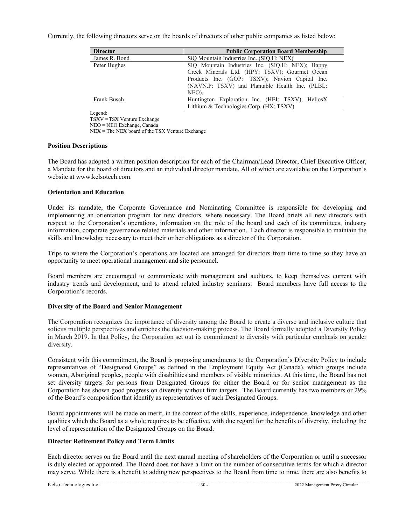Currently, the following directors serve on the boards of directors of other public companies as listed below:

| <b>Director</b> | <b>Public Corporation Board Membership</b>                                                                                                                                                                       |  |  |  |
|-----------------|------------------------------------------------------------------------------------------------------------------------------------------------------------------------------------------------------------------|--|--|--|
| James R. Bond   | SiQ Mountain Industries Inc. (SIQ.H: NEX)                                                                                                                                                                        |  |  |  |
| Peter Hughes    | SIQ Mountain Industries Inc. (SIQ.H: NEX); Happy<br>Creek Minerals Ltd. (HPY: TSXV); Gourmet Ocean<br>Products Inc. (GOP: TSXV); Navion Capital Inc.<br>(NAVN.P: TSXV) and Plantable Health Inc. (PLBL:<br>NEO). |  |  |  |
| Frank Busch     | Huntington Exploration Inc. (HEI: TSXV); HeliosX<br>Lithium & Technologies Corp. (HX: TSXV)                                                                                                                      |  |  |  |

Legend:

TSXV = TSX Venture Exchange

NEO = NEO Exchange, Canada

NEX = The NEX board of the TSX Venture Exchange

## **Position Descriptions**

The Board has adopted a written position description for each of the Chairman/Lead Director, Chief Executive Officer, a Mandate for the board of directors and an individual director mandate. All of which are available on the Corporation's website at www.kelsotech.com.

# **Orientation and Education**

Under its mandate, the Corporate Governance and Nominating Committee is responsible for developing and implementing an orientation program for new directors, where necessary. The Board briefs all new directors with respect to the Corporation's operations, information on the role of the board and each of its committees, industry information, corporate governance related materials and other information. Each director is responsible to maintain the skills and knowledge necessary to meet their or her obligations as a director of the Corporation.

Trips to where the Corporation's operations are located are arranged for directors from time to time so they have an opportunity to meet operational management and site personnel.

Board members are encouraged to communicate with management and auditors, to keep themselves current with industry trends and development, and to attend related industry seminars. Board members have full access to the Corporation's records.

# **Diversity of the Board and Senior Management**

The Corporation recognizes the importance of diversity among the Board to create a diverse and inclusive culture that solicits multiple perspectives and enriches the decision-making process. The Board formally adopted a Diversity Policy in March 2019. In that Policy, the Corporation set out its commitment to diversity with particular emphasis on gender diversity.

Consistent with this commitment, the Board is proposing amendments to the Corporation's Diversity Policy to include representatives of "Designated Groups" as defined in the Employment Equity Act (Canada), which groups include women, Aboriginal peoples, people with disabilities and members of visible minorities. At this time, the Board has not set diversity targets for persons from Designated Groups for either the Board or for senior management as the Corporation has shown good progress on diversity without firm targets. The Board currently has two members or 29% of the Board's composition that identify as representatives of such Designated Groups.

Board appointments will be made on merit, in the context of the skills, experience, independence, knowledge and other qualities which the Board as a whole requires to be effective, with due regard for the benefits of diversity, including the level of representation of the Designated Groups on the Board.

### **Director Retirement Policy and Term Limits**

Each director serves on the Board until the next annual meeting of shareholders of the Corporation or until a successor is duly elected or appointed. The Board does not have a limit on the number of consecutive terms for which a director may serve. While there is a benefit to adding new perspectives to the Board from time to time, there are also benefits to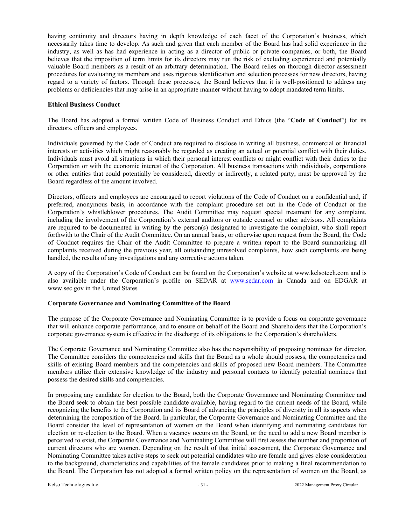having continuity and directors having in depth knowledge of each facet of the Corporation's business, which necessarily takes time to develop. As such and given that each member of the Board has had solid experience in the industry, as well as has had experience in acting as a director of public or private companies, or both, the Board believes that the imposition of term limits for its directors may run the risk of excluding experienced and potentially valuable Board members as a result of an arbitrary determination. The Board relies on thorough director assessment procedures for evaluating its members and uses rigorous identification and selection processes for new directors, having regard to a variety of factors. Through these processes, the Board believes that it is well-positioned to address any problems or deficiencies that may arise in an appropriate manner without having to adopt mandated term limits.

### **Ethical Business Conduct**

The Board has adopted a formal written Code of Business Conduct and Ethics (the "**Code of Conduct**") for its directors, officers and employees.

Individuals governed by the Code of Conduct are required to disclose in writing all business, commercial or financial interests or activities which might reasonably be regarded as creating an actual or potential conflict with their duties. Individuals must avoid all situations in which their personal interest conflicts or might conflict with their duties to the Corporation or with the economic interest of the Corporation. All business transactions with individuals, corporations or other entities that could potentially be considered, directly or indirectly, a related party, must be approved by the Board regardless of the amount involved.

Directors, officers and employees are encouraged to report violations of the Code of Conduct on a confidential and, if preferred, anonymous basis, in accordance with the complaint procedure set out in the Code of Conduct or the Corporation's whistleblower procedures. The Audit Committee may request special treatment for any complaint, including the involvement of the Corporation's external auditors or outside counsel or other advisors. All complaints are required to be documented in writing by the person(s) designated to investigate the complaint, who shall report forthwith to the Chair of the Audit Committee. On an annual basis, or otherwise upon request from the Board, the Code of Conduct requires the Chair of the Audit Committee to prepare a written report to the Board summarizing all complaints received during the previous year, all outstanding unresolved complaints, how such complaints are being handled, the results of any investigations and any corrective actions taken.

A copy of the Corporation's Code of Conduct can be found on the Corporation's website at www.kelsotech.com and is also available under the Corporation's profile on SEDAR at www.sedar.com in Canada and on EDGAR at www.sec.gov in the United States

### **Corporate Governance and Nominating Committee of the Board**

The purpose of the Corporate Governance and Nominating Committee is to provide a focus on corporate governance that will enhance corporate performance, and to ensure on behalf of the Board and Shareholders that the Corporation's corporate governance system is effective in the discharge of its obligations to the Corporation's shareholders.

The Corporate Governance and Nominating Committee also has the responsibility of proposing nominees for director. The Committee considers the competencies and skills that the Board as a whole should possess, the competencies and skills of existing Board members and the competencies and skills of proposed new Board members. The Committee members utilize their extensive knowledge of the industry and personal contacts to identify potential nominees that possess the desired skills and competencies.

In proposing any candidate for election to the Board, both the Corporate Governance and Nominating Committee and the Board seek to obtain the best possible candidate available, having regard to the current needs of the Board, while recognizing the benefits to the Corporation and its Board of advancing the principles of diversity in all its aspects when determining the composition of the Board. In particular, the Corporate Governance and Nominating Committee and the Board consider the level of representation of women on the Board when identifying and nominating candidates for election or re-election to the Board. When a vacancy occurs on the Board, or the need to add a new Board member is perceived to exist, the Corporate Governance and Nominating Committee will first assess the number and proportion of current directors who are women. Depending on the result of that initial assessment, the Corporate Governance and Nominating Committee takes active steps to seek out potential candidates who are female and gives close consideration to the background, characteristics and capabilities of the female candidates prior to making a final recommendation to the Board. The Corporation has not adopted a formal written policy on the representation of women on the Board, as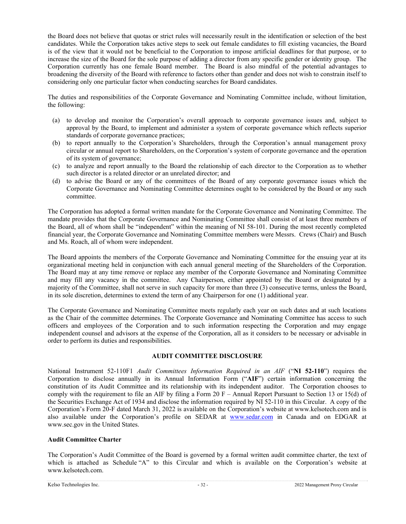the Board does not believe that quotas or strict rules will necessarily result in the identification or selection of the best candidates. While the Corporation takes active steps to seek out female candidates to fill existing vacancies, the Board is of the view that it would not be beneficial to the Corporation to impose artificial deadlines for that purpose, or to increase the size of the Board for the sole purpose of adding a director from any specific gender or identity group. The Corporation currently has one female Board member. The Board is also mindful of the potential advantages to broadening the diversity of the Board with reference to factors other than gender and does not wish to constrain itself to considering only one particular factor when conducting searches for Board candidates.

The duties and responsibilities of the Corporate Governance and Nominating Committee include, without limitation, the following:

- (a) to develop and monitor the Corporation's overall approach to corporate governance issues and, subject to approval by the Board, to implement and administer a system of corporate governance which reflects superior standards of corporate governance practices;
- (b) to report annually to the Corporation's Shareholders, through the Corporation's annual management proxy circular or annual report to Shareholders, on the Corporation's system of corporate governance and the operation of its system of governance;
- (c) to analyze and report annually to the Board the relationship of each director to the Corporation as to whether such director is a related director or an unrelated director; and
- (d) to advise the Board or any of the committees of the Board of any corporate governance issues which the Corporate Governance and Nominating Committee determines ought to be considered by the Board or any such committee.

The Corporation has adopted a formal written mandate for the Corporate Governance and Nominating Committee. The mandate provides that the Corporate Governance and Nominating Committee shall consist of at least three members of the Board, all of whom shall be "independent" within the meaning of NI 58-101. During the most recently completed financial year, the Corporate Governance and Nominating Committee members were Messrs. Crews (Chair) and Busch and Ms. Roach, all of whom were independent.

The Board appoints the members of the Corporate Governance and Nominating Committee for the ensuing year at its organizational meeting held in conjunction with each annual general meeting of the Shareholders of the Corporation. The Board may at any time remove or replace any member of the Corporate Governance and Nominating Committee and may fill any vacancy in the committee. Any Chairperson, either appointed by the Board or designated by a majority of the Committee, shall not serve in such capacity for more than three (3) consecutive terms, unless the Board, in its sole discretion, determines to extend the term of any Chairperson for one (1) additional year.

The Corporate Governance and Nominating Committee meets regularly each year on such dates and at such locations as the Chair of the committee determines. The Corporate Governance and Nominating Committee has access to such officers and employees of the Corporation and to such information respecting the Corporation and may engage independent counsel and advisors at the expense of the Corporation, all as it considers to be necessary or advisable in order to perform its duties and responsibilities.

### **AUDIT COMMITTEE DISCLOSURE**

National Instrument 52-110F1 *Audit Committees Information Required in an AIF* ("**NI 52-110**") requires the Corporation to disclose annually in its Annual Information Form ("**AIF**") certain information concerning the constitution of its Audit Committee and its relationship with its independent auditor. The Corporation chooses to comply with the requirement to file an AIF by filing a Form 20 F – Annual Report Pursuant to Section 13 or 15(d) of the Securities Exchange Act of 1934 and disclose the information required by NI 52-110 in this Circular. A copy of the Corporation's Form 20-F dated March 31, 2022 is available on the Corporation's website at www.kelsotech.com and is also available under the Corporation's profile on SEDAR at www.sedar.com in Canada and on EDGAR at www.sec.gov in the United States.

### **Audit Committee Charter**

The Corporation's Audit Committee of the Board is governed by a formal written audit committee charter, the text of which is attached as Schedule "A" to this Circular and which is available on the Corporation's website at www.kelsotech.com.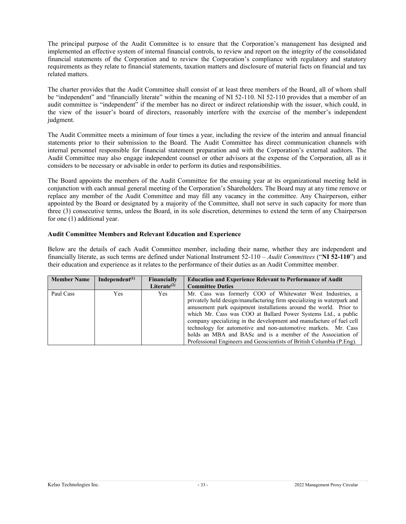The principal purpose of the Audit Committee is to ensure that the Corporation's management has designed and implemented an effective system of internal financial controls, to review and report on the integrity of the consolidated financial statements of the Corporation and to review the Corporation's compliance with regulatory and statutory requirements as they relate to financial statements, taxation matters and disclosure of material facts on financial and tax related matters.

The charter provides that the Audit Committee shall consist of at least three members of the Board, all of whom shall be "independent" and "financially literate" within the meaning of NI 52-110. NI 52-110 provides that a member of an audit committee is "independent" if the member has no direct or indirect relationship with the issuer, which could, in the view of the issuer's board of directors, reasonably interfere with the exercise of the member's independent judgment.

The Audit Committee meets a minimum of four times a year, including the review of the interim and annual financial statements prior to their submission to the Board. The Audit Committee has direct communication channels with internal personnel responsible for financial statement preparation and with the Corporation's external auditors. The Audit Committee may also engage independent counsel or other advisors at the expense of the Corporation, all as it considers to be necessary or advisable in order to perform its duties and responsibilities.

The Board appoints the members of the Audit Committee for the ensuing year at its organizational meeting held in conjunction with each annual general meeting of the Corporation's Shareholders. The Board may at any time remove or replace any member of the Audit Committee and may fill any vacancy in the committee. Any Chairperson, either appointed by the Board or designated by a majority of the Committee, shall not serve in such capacity for more than three (3) consecutive terms, unless the Board, in its sole discretion, determines to extend the term of any Chairperson for one (1) additional year.

#### **Audit Committee Members and Relevant Education and Experience**

Below are the details of each Audit Committee member, including their name, whether they are independent and financially literate, as such terms are defined under National Instrument 52-110 – *Audit Committees* ("**NI 52-110**") and their education and experience as it relates to the performance of their duties as an Audit Committee member.

| <b>Member Name</b> | Independent $(1)$ | Financially<br>Literate $(2)$ | <b>Education and Experience Relevant to Performance of Audit</b><br><b>Committee Duties</b>                                                                                                                                                                                                                                                                                                                                                                                                                                                                   |
|--------------------|-------------------|-------------------------------|---------------------------------------------------------------------------------------------------------------------------------------------------------------------------------------------------------------------------------------------------------------------------------------------------------------------------------------------------------------------------------------------------------------------------------------------------------------------------------------------------------------------------------------------------------------|
| Paul Cass          | <b>Yes</b>        | Yes.                          | Mr. Cass was formerly COO of Whitewater West Industries, a<br>privately held design/manufacturing firm specializing in waterpark and<br>amusement park equipment installations around the world. Prior to<br>which Mr. Cass was COO at Ballard Power Systems Ltd., a public<br>company specializing in the development and manufacture of fuel cell<br>technology for automotive and non-automotive markets. Mr. Cass<br>holds an MBA and BASc and is a member of the Association of<br>Professional Engineers and Geoscientists of British Columbia (P.Eng). |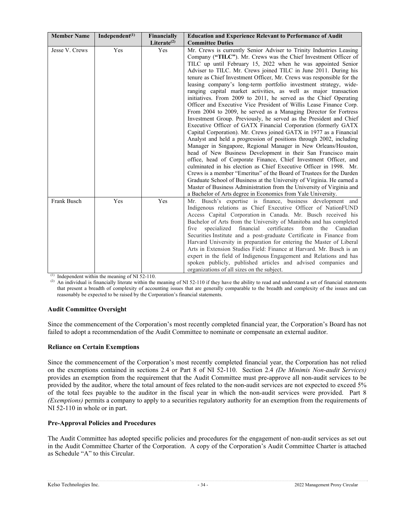| <b>Member Name</b> | Independent $(1)$ | Financially<br>Literate $(2)$ | <b>Education and Experience Relevant to Performance of Audit</b><br><b>Committee Duties</b>                                                                                                                                                                                                                                                                                                                                                                                                                                                                                                                                                                                                                                                                                                                                                                                                                                                                                                                                                                                                                                                                                                                                                                                                                                                                                                                                                                                                                                                                         |
|--------------------|-------------------|-------------------------------|---------------------------------------------------------------------------------------------------------------------------------------------------------------------------------------------------------------------------------------------------------------------------------------------------------------------------------------------------------------------------------------------------------------------------------------------------------------------------------------------------------------------------------------------------------------------------------------------------------------------------------------------------------------------------------------------------------------------------------------------------------------------------------------------------------------------------------------------------------------------------------------------------------------------------------------------------------------------------------------------------------------------------------------------------------------------------------------------------------------------------------------------------------------------------------------------------------------------------------------------------------------------------------------------------------------------------------------------------------------------------------------------------------------------------------------------------------------------------------------------------------------------------------------------------------------------|
| Jesse V. Crews     | Yes               | Yes                           | Mr. Crews is currently Senior Adviser to Trinity Industries Leasing<br>Company ("TILC"). Mr. Crews was the Chief Investment Officer of<br>TILC up until February 15, 2022 when he was appointed Senior<br>Adviser to TILC. Mr. Crews joined TILC in June 2011. During his<br>tenure as Chief Investment Officer, Mr. Crews was responsible for the<br>leasing company's long-term portfolio investment strategy, wide-<br>ranging capital market activities, as well as major transaction<br>initiatives. From 2009 to 2011, he served as the Chief Operating<br>Officer and Executive Vice President of Willis Lease Finance Corp.<br>From 2004 to 2009, he served as a Managing Director for Fortress<br>Investment Group. Previously, he served as the President and Chief<br>Executive Officer of GATX Financial Corporation (formerly GATX<br>Capital Corporation). Mr. Crews joined GATX in 1977 as a Financial<br>Analyst and held a progression of positions through 2002, including<br>Manager in Singapore, Regional Manager in New Orleans/Houston,<br>head of New Business Development in their San Francisco main<br>office, head of Corporate Finance, Chief Investment Officer, and<br>culminated in his election as Chief Executive Officer in 1998. Mr.<br>Crews is a member "Emeritus" of the Board of Trustees for the Darden<br>Graduate School of Business at the University of Virginia. He earned a<br>Master of Business Administration from the University of Virginia and<br>a Bachelor of Arts degree in Economics from Yale University. |
| Frank Busch        | Yes               | Yes                           | Mr. Busch's expertise is finance, business development and<br>Indigenous relations as Chief Executive Officer of NationFUND<br>Access Capital Corporation in Canada. Mr. Busch received his<br>Bachelor of Arts from the University of Manitoba and has completed<br>specialized financial<br>certificates<br>from<br>Canadian<br>five<br>the<br>Securities Institute and a post-graduate Certificate in Finance from<br>Harvard University in preparation for entering the Master of Liberal<br>Arts in Extension Studies Field: Finance at Harvard. Mr. Busch is an<br>expert in the field of Indigenous Engagement and Relations and has<br>spoken publicly, published articles and advised companies and<br>organizations of all sizes on the subject.                                                                                                                                                                                                                                                                                                                                                                                                                                                                                                                                                                                                                                                                                                                                                                                                          |

 $(1)$  Independent within the meaning of NI 52-110.

(2) An individual is financially literate within the meaning of NI 52-110 if they have the ability to read and understand a set of financial statements that present a breadth of complexity of accounting issues that are generally comparable to the breadth and complexity of the issues and can reasonably be expected to be raised by the Corporation's financial statements.

### **Audit Committee Oversight**

Since the commencement of the Corporation's most recently completed financial year, the Corporation's Board has not failed to adopt a recommendation of the Audit Committee to nominate or compensate an external auditor.

### **Reliance on Certain Exemptions**

Since the commencement of the Corporation's most recently completed financial year, the Corporation has not relied on the exemptions contained in sections 2.4 or Part 8 of NI 52-110. Section 2.4 *(De Minimis Non-audit Services)* provides an exemption from the requirement that the Audit Committee must pre-approve all non-audit services to be provided by the auditor, where the total amount of fees related to the non-audit services are not expected to exceed 5% of the total fees payable to the auditor in the fiscal year in which the non-audit services were provided. Part 8 *(Exemptions)* permits a company to apply to a securities regulatory authority for an exemption from the requirements of NI 52-110 in whole or in part.

### **Pre-Approval Policies and Procedures**

The Audit Committee has adopted specific policies and procedures for the engagement of non-audit services as set out in the Audit Committee Charter of the Corporation. A copy of the Corporation's Audit Committee Charter is attached as Schedule "A" to this Circular.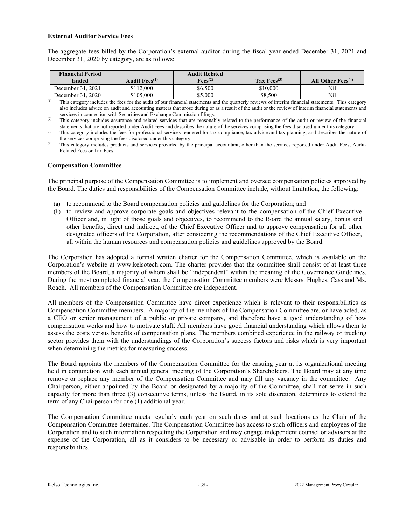### **External Auditor Service Fees**

The aggregate fees billed by the Corporation's external auditor during the fiscal year ended December 31, 2021 and December 31, 2020 by category, are as follows:

| <b>Financial Period</b><br>Ended | Audit Fees <sup>(1)</sup> | <b>Audit Related</b><br>$Fees^{(2)}$ | Tax Fees $^{(3)}$ | All Other $Fees^{(4)}$ |
|----------------------------------|---------------------------|--------------------------------------|-------------------|------------------------|
| December 31, 2021                | \$112,000                 | \$6.500                              | \$10,000          | Nil                    |
| December 31, 2020                | \$105,000                 | \$5.000                              | \$8.500           | Nil                    |

This category includes the fees for the audit of our financial statements and the quarterly reviews of interim financial statements. This category also includes advice on audit and accounting matters that arose during or as a result of the audit or the review of interim financial statements and services in connection with Securities and Exchange Commission filings.

(2) This category includes assurance and related services that are reasonably related to the performance of the audit or review of the financial statements that are not reported under Audit Fees and describes the nature of the services comprising the fees disclosed under this category.

<sup>(3)</sup> This category includes the fees for professional services rendered for tax compliance, tax advice and tax planning, and describes the nature of the services comprising the fees disclosed under this category.

(4) This category includes products and services provided by the principal accountant, other than the services reported under Audit Fees, Audit-Related Fees or Tax Fees.

#### **Compensation Committee**

The principal purpose of the Compensation Committee is to implement and oversee compensation policies approved by the Board. The duties and responsibilities of the Compensation Committee include, without limitation, the following:

- (a) to recommend to the Board compensation policies and guidelines for the Corporation; and
- (b) to review and approve corporate goals and objectives relevant to the compensation of the Chief Executive Officer and, in light of those goals and objectives, to recommend to the Board the annual salary, bonus and other benefits, direct and indirect, of the Chief Executive Officer and to approve compensation for all other designated officers of the Corporation, after considering the recommendations of the Chief Executive Officer, all within the human resources and compensation policies and guidelines approved by the Board.

The Corporation has adopted a formal written charter for the Compensation Committee, which is available on the Corporation's website at www.kelsotech.com. The charter provides that the committee shall consist of at least three members of the Board, a majority of whom shall be "independent" within the meaning of the Governance Guidelines. During the most completed financial year, the Compensation Committee members were Messrs. Hughes, Cass and Ms. Roach. All members of the Compensation Committee are independent.

All members of the Compensation Committee have direct experience which is relevant to their responsibilities as Compensation Committee members. A majority of the members of the Compensation Committee are, or have acted, as a CEO or senior management of a public or private company, and therefore have a good understanding of how compensation works and how to motivate staff. All members have good financial understanding which allows them to assess the costs versus benefits of compensation plans. The members combined experience in the railway or trucking sector provides them with the understandings of the Corporation's success factors and risks which is very important when determining the metrics for measuring success.

The Board appoints the members of the Compensation Committee for the ensuing year at its organizational meeting held in conjunction with each annual general meeting of the Corporation's Shareholders. The Board may at any time remove or replace any member of the Compensation Committee and may fill any vacancy in the committee. Any Chairperson, either appointed by the Board or designated by a majority of the Committee, shall not serve in such capacity for more than three (3) consecutive terms, unless the Board, in its sole discretion, determines to extend the term of any Chairperson for one (1) additional year.

The Compensation Committee meets regularly each year on such dates and at such locations as the Chair of the Compensation Committee determines. The Compensation Committee has access to such officers and employees of the Corporation and to such information respecting the Corporation and may engage independent counsel or advisors at the expense of the Corporation, all as it considers to be necessary or advisable in order to perform its duties and responsibilities.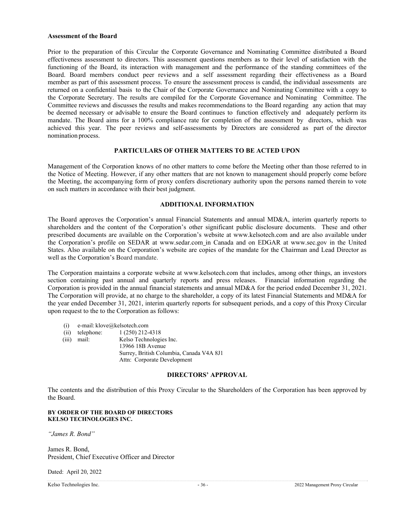#### **Assessment of the Board**

Prior to the preparation of this Circular the Corporate Governance and Nominating Committee distributed a Board effectiveness assessment to directors. This assessment questions members as to their level of satisfaction with the functioning of the Board, its interaction with management and the performance of the standing committees of the Board. Board members conduct peer reviews and a self assessment regarding their effectiveness as a Board member as part of this assessment process. To ensure the assessment process is candid, the individual assessments are returned on a confidential basis to the Chair of the Corporate Governance and Nominating Committee with a copy to the Corporate Secretary. The results are compiled for the Corporate Governance and Nominating Committee. The Committee reviews and discusses the results and makes recommendations to the Board regarding any action that may be deemed necessary or advisable to ensure the Board continues to function effectively and adequately perform its mandate. The Board aims for a 100% compliance rate for completion of the assessment by directors, which was achieved this year. The peer reviews and self-assessments by Directors are considered as part of the director nomination process.

### **PARTICULARS OF OTHER MATTERS TO BE ACTED UPON**

Management of the Corporation knows of no other matters to come before the Meeting other than those referred to in the Notice of Meeting. However, if any other matters that are not known to management should properly come before the Meeting, the accompanying form of proxy confers discretionary authority upon the persons named therein to vote on such matters in accordance with their best judgment.

### **ADDITIONAL INFORMATION**

The Board approves the Corporation's annual Financial Statements and annual MD&A, interim quarterly reports to shareholders and the content of the Corporation's other significant public disclosure documents. These and other prescribed documents are available on the Corporation's website at www.kelsotech.com and are also available under the Corporation's profile on SEDAR at www.sedar.com in Canada and on EDGAR at www.sec.gov in the United States. Also available on the Corporation's website are copies of the mandate for the Chairman and Lead Director as well as the Corporation's Board mandate.

The Corporation maintains a corporate website at www.kelsotech.com that includes, among other things, an investors section containing past annual and quarterly reports and press releases. Financial information regarding the Corporation is provided in the annual financial statements and annual MD&A for the period ended December 31, 2021. The Corporation will provide, at no charge to the shareholder, a copy of its latest Financial Statements and MD&A for the year ended December 31, 2021, interim quarterly reports for subsequent periods, and a copy of this Proxy Circular upon request to the to the Corporation as follows:

- (i) e-mail: klove@kelsotech.com
- (ii) telephone: 1 (250) 212-4318
- 

(iii) mail: Kelso Technologies Inc. 13966 18B Avenue Surrey, British Columbia, Canada V4A 8J1 Attn: Corporate Development

#### **DIRECTORS' APPROVAL**

The contents and the distribution of this Proxy Circular to the Shareholders of the Corporation has been approved by the Board.

#### **BY ORDER OF THE BOARD OF DIRECTORS KELSO TECHNOLOGIES INC.**

*"James R. Bond"* 

James R. Bond, President, Chief Executive Officer and Director

Dated: April 20, 2022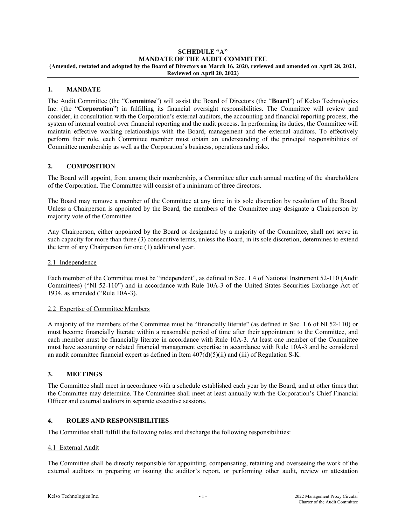#### **SCHEDULE "A" MANDATE OF THE AUDIT COMMITTEE (Amended, restated and adopted by the Board of Directors on March 16, 2020, reviewed and amended on April 28, 2021, Reviewed on April 20, 2022)**

## **1. MANDATE**

The Audit Committee (the "**Committee**") will assist the Board of Directors (the "**Board**") of Kelso Technologies Inc. (the "**Corporation**") in fulfilling its financial oversight responsibilities. The Committee will review and consider, in consultation with the Corporation's external auditors, the accounting and financial reporting process, the system of internal control over financial reporting and the audit process. In performing its duties, the Committee will maintain effective working relationships with the Board, management and the external auditors. To effectively perform their role, each Committee member must obtain an understanding of the principal responsibilities of Committee membership as well as the Corporation's business, operations and risks.

## **2. COMPOSITION**

The Board will appoint, from among their membership, a Committee after each annual meeting of the shareholders of the Corporation. The Committee will consist of a minimum of three directors.

The Board may remove a member of the Committee at any time in its sole discretion by resolution of the Board. Unless a Chairperson is appointed by the Board, the members of the Committee may designate a Chairperson by majority vote of the Committee.

Any Chairperson, either appointed by the Board or designated by a majority of the Committee, shall not serve in such capacity for more than three (3) consecutive terms, unless the Board, in its sole discretion, determines to extend the term of any Chairperson for one (1) additional year.

### 2.1 Independence

Each member of the Committee must be "independent", as defined in Sec. 1.4 of National Instrument 52-110 (Audit Committees) ("NI 52-110") and in accordance with Rule 10A-3 of the United States Securities Exchange Act of 1934, as amended ("Rule 10A-3).

### 2.2 Expertise of Committee Members

A majority of the members of the Committee must be "financially literate" (as defined in Sec. 1.6 of NI 52-110) or must become financially literate within a reasonable period of time after their appointment to the Committee, and each member must be financially literate in accordance with Rule 10A-3. At least one member of the Committee must have accounting or related financial management expertise in accordance with Rule 10A-3 and be considered an audit committee financial expert as defined in Item  $407(d)(5)(ii)$  and (iii) of Regulation S-K.

### **3. MEETINGS**

The Committee shall meet in accordance with a schedule established each year by the Board, and at other times that the Committee may determine. The Committee shall meet at least annually with the Corporation's Chief Financial Officer and external auditors in separate executive sessions.

### **4. ROLES AND RESPONSIBILITIES**

The Committee shall fulfill the following roles and discharge the following responsibilities:

#### 4.1 External Audit

The Committee shall be directly responsible for appointing, compensating, retaining and overseeing the work of the external auditors in preparing or issuing the auditor's report, or performing other audit, review or attestation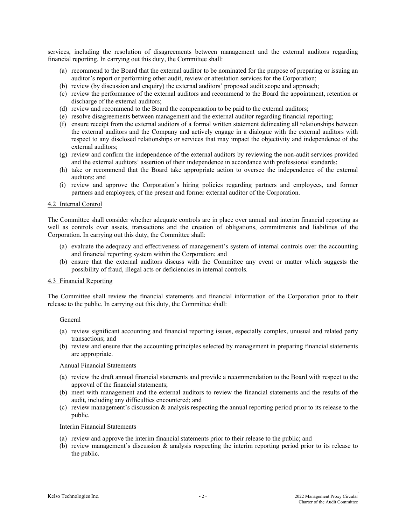services, including the resolution of disagreements between management and the external auditors regarding financial reporting. In carrying out this duty, the Committee shall:

- (a) recommend to the Board that the external auditor to be nominated for the purpose of preparing or issuing an auditor's report or performing other audit, review or attestation services for the Corporation;
- (b) review (by discussion and enquiry) the external auditors' proposed audit scope and approach;
- (c) review the performance of the external auditors and recommend to the Board the appointment, retention or discharge of the external auditors;
- (d) review and recommend to the Board the compensation to be paid to the external auditors;
- (e) resolve disagreements between management and the external auditor regarding financial reporting;
- (f) ensure receipt from the external auditors of a formal written statement delineating all relationships between the external auditors and the Company and actively engage in a dialogue with the external auditors with respect to any disclosed relationships or services that may impact the objectivity and independence of the external auditors;
- (g) review and confirm the independence of the external auditors by reviewing the non-audit services provided and the external auditors' assertion of their independence in accordance with professional standards;
- (h) take or recommend that the Board take appropriate action to oversee the independence of the external auditors; and
- (i) review and approve the Corporation's hiring policies regarding partners and employees, and former partners and employees, of the present and former external auditor of the Corporation.

#### 4.2 Internal Control

The Committee shall consider whether adequate controls are in place over annual and interim financial reporting as well as controls over assets, transactions and the creation of obligations, commitments and liabilities of the Corporation. In carrying out this duty, the Committee shall:

- (a) evaluate the adequacy and effectiveness of management's system of internal controls over the accounting and financial reporting system within the Corporation; and
- (b) ensure that the external auditors discuss with the Committee any event or matter which suggests the possibility of fraud, illegal acts or deficiencies in internal controls.

#### 4.3 Financial Reporting

The Committee shall review the financial statements and financial information of the Corporation prior to their release to the public. In carrying out this duty, the Committee shall:

General

- (a) review significant accounting and financial reporting issues, especially complex, unusual and related party transactions; and
- (b) review and ensure that the accounting principles selected by management in preparing financial statements are appropriate.

#### Annual Financial Statements

- (a) review the draft annual financial statements and provide a recommendation to the Board with respect to the approval of the financial statements;
- (b) meet with management and the external auditors to review the financial statements and the results of the audit, including any difficulties encountered; and
- (c) review management's discussion & analysis respecting the annual reporting period prior to its release to the public.

Interim Financial Statements

- (a) review and approve the interim financial statements prior to their release to the public; and
- (b) review management's discussion & analysis respecting the interim reporting period prior to its release to the public.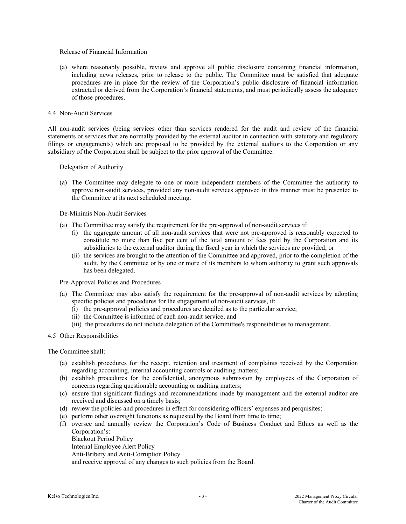#### Release of Financial Information

(a) where reasonably possible, review and approve all public disclosure containing financial information, including news releases, prior to release to the public. The Committee must be satisfied that adequate procedures are in place for the review of the Corporation's public disclosure of financial information extracted or derived from the Corporation's financial statements, and must periodically assess the adequacy of those procedures.

#### 4.4 Non-Audit Services

All non-audit services (being services other than services rendered for the audit and review of the financial statements or services that are normally provided by the external auditor in connection with statutory and regulatory filings or engagements) which are proposed to be provided by the external auditors to the Corporation or any subsidiary of the Corporation shall be subject to the prior approval of the Committee.

Delegation of Authority

(a) The Committee may delegate to one or more independent members of the Committee the authority to approve non-audit services, provided any non-audit services approved in this manner must be presented to the Committee at its next scheduled meeting.

#### De-Minimis Non-Audit Services

- (a) The Committee may satisfy the requirement for the pre-approval of non-audit services if:
	- (i) the aggregate amount of all non-audit services that were not pre-approved is reasonably expected to constitute no more than five per cent of the total amount of fees paid by the Corporation and its subsidiaries to the external auditor during the fiscal year in which the services are provided; or
	- (ii) the services are brought to the attention of the Committee and approved, prior to the completion of the audit, by the Committee or by one or more of its members to whom authority to grant such approvals has been delegated.

#### Pre-Approval Policies and Procedures

- (a) The Committee may also satisfy the requirement for the pre-approval of non-audit services by adopting specific policies and procedures for the engagement of non-audit services, if:
	- (i) the pre-approval policies and procedures are detailed as to the particular service;
	- (ii) the Committee is informed of each non-audit service; and
	- (iii) the procedures do not include delegation of the Committee's responsibilities to management.

### 4.5 Other Responsibilities

The Committee shall:

- (a) establish procedures for the receipt, retention and treatment of complaints received by the Corporation regarding accounting, internal accounting controls or auditing matters;
- (b) establish procedures for the confidential, anonymous submission by employees of the Corporation of concerns regarding questionable accounting or auditing matters;
- (c) ensure that significant findings and recommendations made by management and the external auditor are received and discussed on a timely basis;
- (d) review the policies and procedures in effect for considering officers' expenses and perquisites;
- (e) perform other oversight functions as requested by the Board from time to time;
- (f) oversee and annually review the Corporation's Code of Business Conduct and Ethics as well as the Corporation's:

Blackout Period Policy Internal Employee Alert Policy Anti-Bribery and Anti-Corruption Policy and receive approval of any changes to such policies from the Board.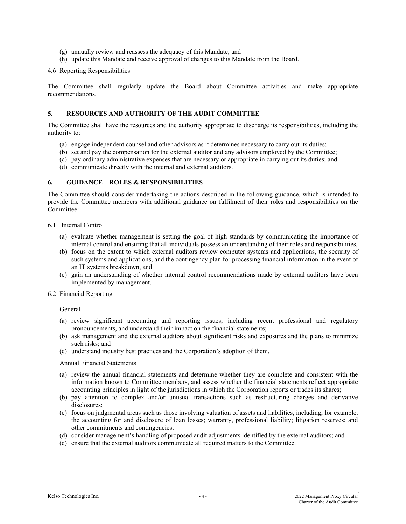- (g) annually review and reassess the adequacy of this Mandate; and
- (h) update this Mandate and receive approval of changes to this Mandate from the Board.

#### 4.6 Reporting Responsibilities

The Committee shall regularly update the Board about Committee activities and make appropriate recommendations.

#### **5. RESOURCES AND AUTHORITY OF THE AUDIT COMMITTEE**

The Committee shall have the resources and the authority appropriate to discharge its responsibilities, including the authority to:

- (a) engage independent counsel and other advisors as it determines necessary to carry out its duties;
- (b) set and pay the compensation for the external auditor and any advisors employed by the Committee;
- (c) pay ordinary administrative expenses that are necessary or appropriate in carrying out its duties; and
- (d) communicate directly with the internal and external auditors.

### **6. GUIDANCE – ROLES & RESPONSIBILITIES**

The Committee should consider undertaking the actions described in the following guidance, which is intended to provide the Committee members with additional guidance on fulfilment of their roles and responsibilities on the Committee:

#### 6.1 Internal Control

- (a) evaluate whether management is setting the goal of high standards by communicating the importance of internal control and ensuring that all individuals possess an understanding of their roles and responsibilities,
- (b) focus on the extent to which external auditors review computer systems and applications, the security of such systems and applications, and the contingency plan for processing financial information in the event of an IT systems breakdown, and
- (c) gain an understanding of whether internal control recommendations made by external auditors have been implemented by management.

#### 6.2 Financial Reporting

General

- (a) review significant accounting and reporting issues, including recent professional and regulatory pronouncements, and understand their impact on the financial statements;
- (b) ask management and the external auditors about significant risks and exposures and the plans to minimize such risks; and
- (c) understand industry best practices and the Corporation's adoption of them.

#### Annual Financial Statements

- (a) review the annual financial statements and determine whether they are complete and consistent with the information known to Committee members, and assess whether the financial statements reflect appropriate accounting principles in light of the jurisdictions in which the Corporation reports or trades its shares;
- (b) pay attention to complex and/or unusual transactions such as restructuring charges and derivative disclosures;
- (c) focus on judgmental areas such as those involving valuation of assets and liabilities, including, for example, the accounting for and disclosure of loan losses; warranty, professional liability; litigation reserves; and other commitments and contingencies;
- (d) consider management's handling of proposed audit adjustments identified by the external auditors; and
- (e) ensure that the external auditors communicate all required matters to the Committee.